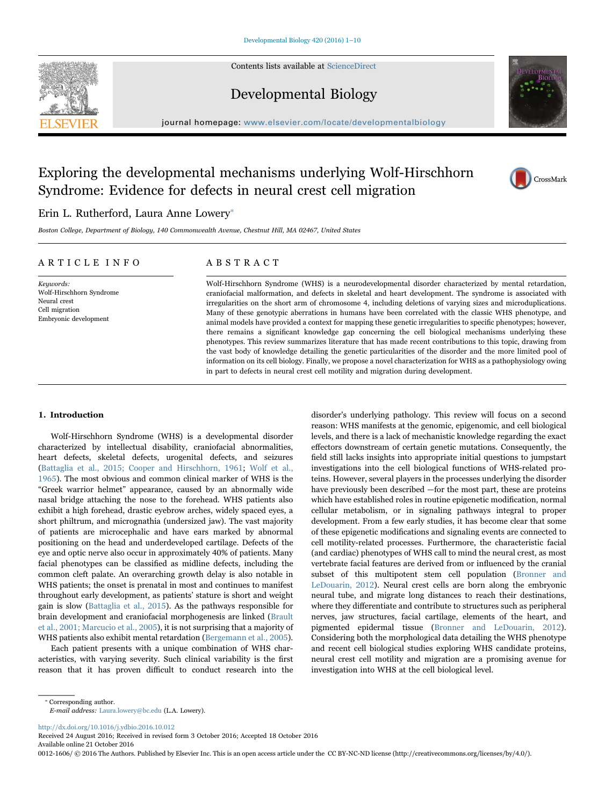Contents lists available at [ScienceDirect](http://www.sciencedirect.com/science/journal/00121606)





# Developmental Biology

journal homepage: [www.elsevier.com/locate/developmentalbiology](http://www.elsevier.com/locate/developmentalbiology)

# Exploring the developmental mechanisms underlying Wolf-Hirschhorn Syndrome: Evidence for defects in neural crest cell migration



## Erin L. Rutherford, Laura Anne Lowery<sup>\*</sup>

Boston College, Department of Biology, 140 Commonwealth Avenue, Chestnut Hill, MA 02467, United States

### ARTICLE INFO

Keuwords: Wolf-Hirschhorn Syndrome Neural crest Cell migration Embryonic development

## ABSTRACT

Wolf-Hirschhorn Syndrome (WHS) is a neurodevelopmental disorder characterized by mental retardation, craniofacial malformation, and defects in skeletal and heart development. The syndrome is associated with irregularities on the short arm of chromosome 4, including deletions of varying sizes and microduplications. Many of these genotypic aberrations in humans have been correlated with the classic WHS phenotype, and animal models have provided a context for mapping these genetic irregularities to specific phenotypes; however, there remains a significant knowledge gap concerning the cell biological mechanisms underlying these phenotypes. This review summarizes literature that has made recent contributions to this topic, drawing from the vast body of knowledge detailing the genetic particularities of the disorder and the more limited pool of information on its cell biology. Finally, we propose a novel characterization for WHS as a pathophysiology owing in part to defects in neural crest cell motility and migration during development.

#### 1. Introduction

Wolf-Hirschhorn Syndrome (WHS) is a developmental disorder characterized by intellectual disability, craniofacial abnormalities, heart defects, skeletal defects, urogenital defects, and seizures ([Battaglia et al., 2015; Cooper and Hirschhorn, 1961](#page-7-0); [Wolf et al.,](#page-8-0) [1965\)](#page-8-0). The most obvious and common clinical marker of WHS is the "Greek warrior helmet" appearance, caused by an abnormally wide nasal bridge attaching the nose to the forehead. WHS patients also exhibit a high forehead, drastic eyebrow arches, widely spaced eyes, a short philtrum, and micrognathia (undersized jaw). The vast majority of patients are microcephalic and have ears marked by abnormal positioning on the head and underdeveloped cartilage. Defects of the eye and optic nerve also occur in approximately 40% of patients. Many facial phenotypes can be classified as midline defects, including the common cleft palate. An overarching growth delay is also notable in WHS patients; the onset is prenatal in most and continues to manifest throughout early development, as patients' stature is short and weight gain is slow [\(Battaglia et al., 2015](#page-7-0)). As the pathways responsible for brain development and craniofacial morphogenesis are linked ([Brault](#page-7-1) [et al., 2001; Marcucio et al., 2005\)](#page-7-1), it is not surprising that a majority of WHS patients also exhibit mental retardation ([Bergemann et al., 2005\)](#page-7-2).

Each patient presents with a unique combination of WHS characteristics, with varying severity. Such clinical variability is the first reason that it has proven difficult to conduct research into the disorder's underlying pathology. This review will focus on a second reason: WHS manifests at the genomic, epigenomic, and cell biological levels, and there is a lack of mechanistic knowledge regarding the exact effectors downstream of certain genetic mutations. Consequently, the field still lacks insights into appropriate initial questions to jumpstart investigations into the cell biological functions of WHS-related proteins. However, several players in the processes underlying the disorder have previously been described —for the most part, these are proteins which have established roles in routine epigenetic modification, normal cellular metabolism, or in signaling pathways integral to proper development. From a few early studies, it has become clear that some of these epigenetic modifications and signaling events are connected to cell motility-related processes. Furthermore, the characteristic facial (and cardiac) phenotypes of WHS call to mind the neural crest, as most vertebrate facial features are derived from or influenced by the cranial subset of this multipotent stem cell population [\(Bronner and](#page-7-3) [LeDouarin, 2012\)](#page-7-3). Neural crest cells are born along the embryonic neural tube, and migrate long distances to reach their destinations, where they differentiate and contribute to structures such as peripheral nerves, jaw structures, facial cartilage, elements of the heart, and pigmented epidermal tissue ([Bronner and LeDouarin, 2012\)](#page-7-3). Considering both the morphological data detailing the WHS phenotype and recent cell biological studies exploring WHS candidate proteins, neural crest cell motility and migration are a promising avenue for investigation into WHS at the cell biological level.

<http://dx.doi.org/10.1016/j.ydbio.2016.10.012>

Received 24 August 2016; Received in revised form 3 October 2016; Accepted 18 October 2016

Available online 21 October 2016

0012-1606/ © 2016 The Authors. Published by Elsevier Inc. This is an open access article under the CC BY-NC-ND license (http://creativecommons.org/licenses/by/4.0/).

<span id="page-0-0"></span><sup>⁎</sup> Corresponding author.

E-mail address: Laura.lowery@bc.edu (L.A. Lowery).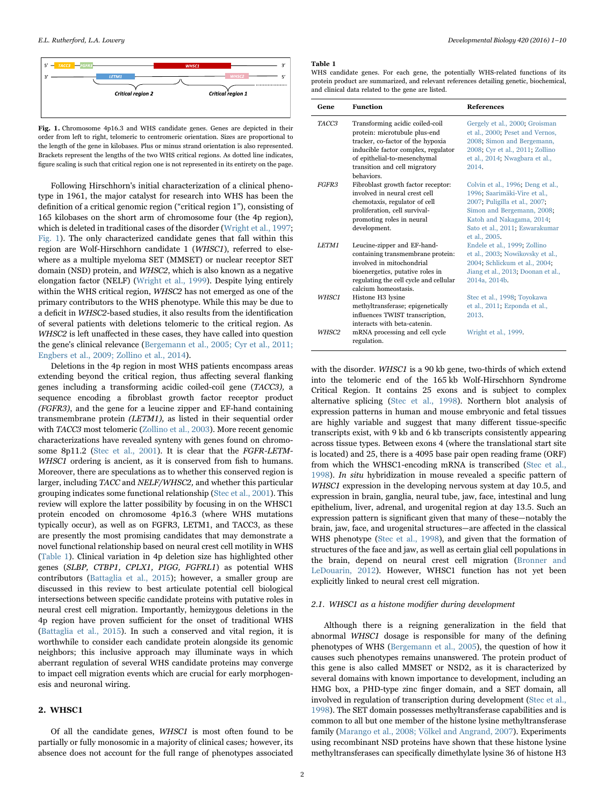<span id="page-1-0"></span>

Fig. 1. Chromosome 4p16.3 and WHS candidate genes. Genes are depicted in their order from left to right, telomeric to centromeric orientation. Sizes are proportional to the length of the gene in kilobases. Plus or minus strand orientation is also represented. Brackets represent the lengths of the two WHS critical regions. As dotted line indicates, figure scaling is such that critical region one is not represented in its entirety on the page.

Following Hirschhorn's initial characterization of a clinical phenotype in 1961, the major catalyst for research into WHS has been the definition of a critical genomic region ("critical region 1"), consisting of 165 kilobases on the short arm of chromosome four (the 4p region), which is deleted in traditional cases of the disorder ([Wright et al., 1997](#page-9-0); [Fig. 1](#page-1-0)). The only characterized candidate genes that fall within this region are Wolf-Hirschhorn candidate 1 (WHSC1), referred to elsewhere as a multiple myeloma SET (MMSET) or nuclear receptor SET domain (NSD) protein, and WHSC2, which is also known as a negative elongation factor (NELF) [\(Wright et al., 1999](#page-8-1)). Despite lying entirely within the WHS critical region, WHSC2 has not emerged as one of the primary contributors to the WHS phenotype. While this may be due to a deficit in WHSC2-based studies, it also results from the identification of several patients with deletions telomeric to the critical region. As WHSC2 is left unaffected in these cases, they have called into question the gene's clinical relevance [\(Bergemann et al., 2005; Cyr et al., 2011;](#page-7-2) [Engbers et al., 2009; Zollino et al., 2014](#page-7-2)).

Deletions in the 4p region in most WHS patients encompass areas extending beyond the critical region, thus affecting several flanking genes including a transforming acidic coiled-coil gene (TACC3), a sequence encoding a fibroblast growth factor receptor product (FGFR3), and the gene for a leucine zipper and EF-hand containing transmembrane protein (LETM1), as listed in their sequential order with *TACC3* most telomeric [\(Zollino et al., 2003\)](#page-9-1). More recent genomic characterizations have revealed synteny with genes found on chromo-some 8p11.2 [\(Stec et al., 2001\)](#page-8-2). It is clear that the FGFR-LETM-WHSC1 ordering is ancient, as it is conserved from fish to humans. Moreover, there are speculations as to whether this conserved region is larger, including TACC and NELF/WHSC2, and whether this particular grouping indicates some functional relationship ([Stec et al., 2001](#page-8-2)). This review will explore the latter possibility by focusing in on the WHSC1 protein encoded on chromosome 4p16.3 (where WHS mutations typically occur), as well as on FGFR3, LETM1, and TACC3, as these are presently the most promising candidates that may demonstrate a novel functional relationship based on neural crest cell motility in WHS ([Table 1\)](#page-1-1). Clinical variation in 4p deletion size has highlighted other genes (SLBP, CTBP1, CPLX1, PIGG, FGFRL1) as potential WHS contributors ([Battaglia et al., 2015\)](#page-7-0); however, a smaller group are discussed in this review to best articulate potential cell biological intersections between specific candidate proteins with putative roles in neural crest cell migration. Importantly, hemizygous deletions in the 4p region have proven sufficient for the onset of traditional WHS ([Battaglia et al., 2015](#page-7-0)). In such a conserved and vital region, it is worthwhile to consider each candidate protein alongside its genomic neighbors; this inclusive approach may illuminate ways in which aberrant regulation of several WHS candidate proteins may converge to impact cell migration events which are crucial for early morphogenesis and neuronal wiring.

#### 2. WHSC1

Of all the candidate genes, WHSC1 is most often found to be partially or fully monosomic in a majority of clinical cases; however, its absence does not account for the full range of phenotypes associated

#### <span id="page-1-1"></span>Table 1

WHS candidate genes. For each gene, the potentially WHS-related functions of its protein product are summarized, and relevant references detailing genetic, biochemical, and clinical data related to the gene are listed.

| Gene  | <b>Function</b>                        | <b>References</b>                  |
|-------|----------------------------------------|------------------------------------|
| TACC3 | Transforming acidic coiled-coil        | Gergely et al., 2000; Groisman     |
|       | protein: microtubule plus-end          | et al., 2000; Peset and Vernos,    |
|       | tracker, co-factor of the hypoxia      | 2008; Simon and Bergemann,         |
|       | inducible factor complex, regulator    | 2008; Cyr et al., 2011; Zollino    |
|       | of epithelial-to-mesenchymal           | et al., 2014; Nwagbara et al.,     |
|       | transition and cell migratory          | 2014.                              |
|       | <b>behaviors</b>                       |                                    |
| FGFR3 | Fibroblast growth factor receptor:     | Colvin et al., 1996, Deng et al.,  |
|       | involved in neural crest cell          | 1996, Saarimäki-Vire et al.,       |
|       | chemotaxis, regulator of cell          | 2007; Puligilla et al., 2007;      |
|       | proliferation, cell survival-          | Simon and Bergemann, 2008;         |
|       | promoting roles in neural              | Katoh and Nakagama, 2014;          |
|       | development.                           | Sato et al., 2011, Eswarakumar     |
|       |                                        | et al., 2005.                      |
| LETM1 | Leucine-zipper and EF-hand-            | Endele et al., 1999, Zollino       |
|       | containing transmembrane protein:      | et al., 2003; Nowikovsky et al.,   |
|       | involved in mitochondrial              | 2004, Schlickum et al., 2004;      |
|       | bioenergetics, putative roles in       | Jiang et al., 2013, Doonan et al., |
|       | regulating the cell cycle and cellular | 2014a, 2014b.                      |
|       | calcium homeostasis.                   |                                    |
| WHSC1 | Histone H3 lysine                      | Stec et al., 1998; Toyokawa        |
|       | methyltransferase; epigenetically      | et al., 2011; Ezponda et al.,      |
|       | influences TWIST transcription,        | 2013.                              |
|       | interacts with beta-catenin.           |                                    |
| WHSC2 | mRNA processing and cell cycle         | Wright et al., 1999.               |
|       | regulation.                            |                                    |

with the disorder. WHSC1 is a 90 kb gene, two-thirds of which extend into the telomeric end of the 165 kb Wolf-Hirschhorn Syndrome Critical Region. It contains 25 exons and is subject to complex alternative splicing ([Stec et al., 1998](#page-8-3)). Northern blot analysis of expression patterns in human and mouse embryonic and fetal tissues are highly variable and suggest that many different tissue-specific transcripts exist, with 9 kb and 6 kb transcripts consistently appearing across tissue types. Between exons 4 (where the translational start site is located) and 25, there is a 4095 base pair open reading frame (ORF) from which the WHSC1-encoding mRNA is transcribed [\(Stec et al.,](#page-8-3) [1998\)](#page-8-3). In situ hybridization in mouse revealed a specific pattern of WHSC1 expression in the developing nervous system at day 10.5, and expression in brain, ganglia, neural tube, jaw, face, intestinal and lung epithelium, liver, adrenal, and urogenital region at day 13.5. Such an expression pattern is significant given that many of these—notably the brain, jaw, face, and urogenital structures—are affected in the classical WHS phenotype [\(Stec et al., 1998](#page-8-3)), and given that the formation of structures of the face and jaw, as well as certain glial cell populations in the brain, depend on neural crest cell migration [\(Bronner and](#page-7-3) [LeDouarin, 2012](#page-7-3)). However, WHSC1 function has not yet been explicitly linked to neural crest cell migration.

#### 2.1. WHSC1 as a histone modifier during development

Although there is a reigning generalization in the field that abnormal WHSC1 dosage is responsible for many of the defining phenotypes of WHS ([Bergemann et al., 2005](#page-7-2)), the question of how it causes such phenotypes remains unanswered. The protein product of this gene is also called MMSET or NSD2, as it is characterized by several domains with known importance to development, including an HMG box, a PHD-type zinc finger domain, and a SET domain, all involved in regulation of transcription during development [\(Stec et al.,](#page-8-3) [1998\)](#page-8-3). The SET domain possesses methyltransferase capabilities and is common to all but one member of the histone lysine methyltransferase family ([Marango et al., 2008; Völkel and Angrand, 2007](#page-8-4)). Experiments using recombinant NSD proteins have shown that these histone lysine methyltransferases can specifically dimethylate lysine 36 of histone H3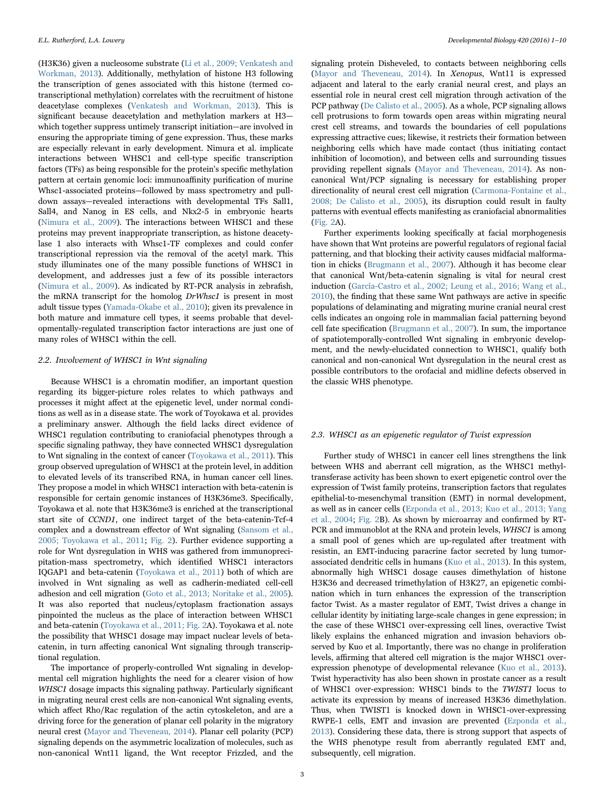(H3K36) given a nucleosome substrate ([Li et al., 2009; Venkatesh and](#page-8-18) [Workman, 2013\)](#page-8-18). Additionally, methylation of histone H3 following the transcription of genes associated with this histone (termed cotranscriptional methylation) correlates with the recruitment of histone deacetylase complexes ([Venkatesh and Workman, 2013](#page-8-19)). This is significant because deacetylation and methylation markers at H3 which together suppress untimely transcript initiation—are involved in ensuring the appropriate timing of gene expression. Thus, these marks are especially relevant in early development. Nimura et al. implicate interactions between WHSC1 and cell-type specific transcription factors (TFs) as being responsible for the protein's specific methylation pattern at certain genomic loci: immunoaffinity purification of murine Whsc1-associated proteins—followed by mass spectrometry and pulldown assays—revealed interactions with developmental TFs Sall1, Sall4, and Nanog in ES cells, and Nkx2-5 in embryonic hearts ([Nimura et al., 2009\)](#page-8-20). The interactions between WHSC1 and these proteins may prevent inappropriate transcription, as histone deacetylase 1 also interacts with Whsc1-TF complexes and could confer transcriptional repression via the removal of the acetyl mark. This study illuminates one of the many possible functions of WHSC1 in development, and addresses just a few of its possible interactors ([Nimura et al., 2009\)](#page-8-20). As indicated by RT-PCR analysis in zebrafish, the mRNA transcript for the homolog DrWhsc1 is present in most adult tissue types ([Yamada-Okabe et al., 2010](#page-9-3)); given its prevalence in both mature and immature cell types, it seems probable that developmentally-regulated transcription factor interactions are just one of many roles of WHSC1 within the cell.

#### 2.2. Involvement of WHSC1 in Wnt signaling

Because WHSC1 is a chromatin modifier, an important question regarding its bigger-picture roles relates to which pathways and processes it might affect at the epigenetic level, under normal conditions as well as in a disease state. The work of Toyokawa et al. provides a preliminary answer. Although the field lacks direct evidence of WHSC1 regulation contributing to craniofacial phenotypes through a specific signaling pathway, they have connected WHSC1 dysregulation to Wnt signaling in the context of cancer ([Toyokawa et al., 2011\)](#page-8-17). This group observed upregulation of WHSC1 at the protein level, in addition to elevated levels of its transcribed RNA, in human cancer cell lines. They propose a model in which WHSC1 interaction with beta-catenin is responsible for certain genomic instances of H3K36me3. Specifically, Toyokawa et al. note that H3K36me3 is enriched at the transcriptional start site of CCND1, one indirect target of the beta-catenin-Tcf-4 complex and a downstream effector of Wnt signaling [\(Sansom et al.,](#page-8-21) [2005; Toyokawa et al., 2011](#page-8-21); [Fig. 2\)](#page-3-0). Further evidence supporting a role for Wnt dysregulation in WHS was gathered from immunoprecipitation-mass spectrometry, which identified WHSC1 interactors IQGAP1 and beta-catenin [\(Toyokawa et al., 2011\)](#page-8-17) both of which are involved in Wnt signaling as well as cadherin-mediated cell-cell adhesion and cell migration ([Goto et al., 2013; Noritake et al., 2005\)](#page-8-22). It was also reported that nucleus/cytoplasm fractionation assays pinpointed the nucleus as the place of interaction between WHSC1 and beta-catenin [\(Toyokawa et al., 2011;](#page-8-17) [Fig. 2A](#page-3-0)). Toyokawa et al. note the possibility that WHSC1 dosage may impact nuclear levels of betacatenin, in turn affecting canonical Wnt signaling through transcriptional regulation.

The importance of properly-controlled Wnt signaling in developmental cell migration highlights the need for a clearer vision of how WHSC1 dosage impacts this signaling pathway. Particularly significant in migrating neural crest cells are non-canonical Wnt signaling events, which affect Rho/Rac regulation of the actin cytoskeleton, and are a driving force for the generation of planar cell polarity in the migratory neural crest ([Mayor and Theveneau, 2014\)](#page-8-23). Planar cell polarity (PCP) signaling depends on the asymmetric localization of molecules, such as non-canonical Wnt11 ligand, the Wnt receptor Frizzled, and the

signaling protein Disheveled, to contacts between neighboring cells ([Mayor and Theveneau, 2014](#page-8-23)). In Xenopus, Wnt11 is expressed adjacent and lateral to the early cranial neural crest, and plays an essential role in neural crest cell migration through activation of the PCP pathway [\(De Calisto et al., 2005\)](#page-7-11). As a whole, PCP signaling allows cell protrusions to form towards open areas within migrating neural crest cell streams, and towards the boundaries of cell populations expressing attractive cues; likewise, it restricts their formation between neighboring cells which have made contact (thus initiating contact inhibition of locomotion), and between cells and surrounding tissues providing repellent signals ([Mayor and Theveneau, 2014\)](#page-8-23). As noncanonical Wnt/PCP signaling is necessary for establishing proper directionality of neural crest cell migration ([Carmona-Fontaine et al.,](#page-7-12) [2008; De Calisto et al., 2005](#page-7-12)), its disruption could result in faulty patterns with eventual effects manifesting as craniofacial abnormalities ([Fig. 2](#page-3-0)A).

Further experiments looking specifically at facial morphogenesis have shown that Wnt proteins are powerful regulators of regional facial patterning, and that blocking their activity causes midfacial malformation in chicks ([Brugmann et al., 2007\)](#page-7-13). Although it has become clear that canonical Wnt/beta-catenin signaling is vital for neural crest induction [\(García-Castro et al., 2002; Leung et al., 2016; Wang et al.,](#page-8-24) [2010\)](#page-8-24), the finding that these same Wnt pathways are active in specific populations of delaminating and migrating murine cranial neural crest cells indicates an ongoing role in mammalian facial patterning beyond cell fate specification [\(Brugmann et al., 2007](#page-7-13)). In sum, the importance of spatiotemporally-controlled Wnt signaling in embryonic development, and the newly-elucidated connection to WHSC1, qualify both canonical and non-canonical Wnt dysregulation in the neural crest as possible contributors to the orofacial and midline defects observed in the classic WHS phenotype.

#### 2.3. WHSC1 as an epigenetic regulator of Twist expression

Further study of WHSC1 in cancer cell lines strengthens the link between WHS and aberrant cell migration, as the WHSC1 methyltransferase activity has been shown to exert epigenetic control over the expression of Twist family proteins, transcription factors that regulates epithelial-to-mesenchymal transition (EMT) in normal development, as well as in cancer cells [\(Ezponda et al., 2013; Kuo et al., 2013; Yang](#page-7-10) [et al., 2004;](#page-7-10) [Fig. 2B](#page-3-0)). As shown by microarray and confirmed by RT-PCR and immunoblot at the RNA and protein levels, WHSC1 is among a small pool of genes which are up-regulated after treatment with resistin, an EMT-inducing paracrine factor secreted by lung tumorassociated dendritic cells in humans ([Kuo et al., 2013\)](#page-8-25). In this system, abnormally high WHSC1 dosage causes dimethylation of histone H3K36 and decreased trimethylation of H3K27, an epigenetic combination which in turn enhances the expression of the transcription factor Twist. As a master regulator of EMT, Twist drives a change in cellular identity by initiating large-scale changes in gene expression; in the case of these WHSC1 over-expressing cell lines, overactive Twist likely explains the enhanced migration and invasion behaviors observed by Kuo et al. Importantly, there was no change in proliferation levels, affirming that altered cell migration is the major WHSC1 overexpression phenotype of developmental relevance [\(Kuo et al., 2013\)](#page-8-25). Twist hyperactivity has also been shown in prostate cancer as a result of WHSC1 over-expression: WHSC1 binds to the TWIST1 locus to activate its expression by means of increased H3K36 dimethylation. Thus, when TWIST1 is knocked down in WHSC1-over-expressing RWPE-1 cells, EMT and invasion are prevented ([Ezponda et al.,](#page-7-10) [2013\)](#page-7-10). Considering these data, there is strong support that aspects of the WHS phenotype result from aberrantly regulated EMT and, subsequently, cell migration.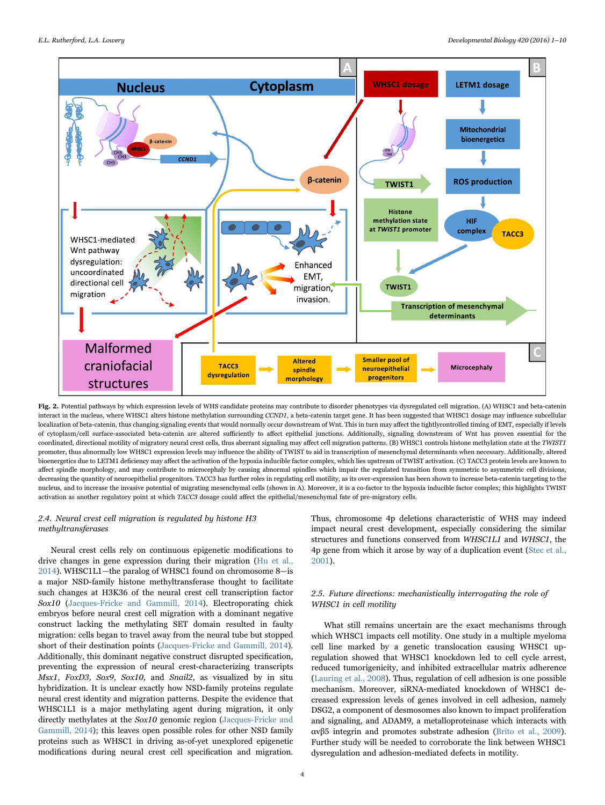<span id="page-3-0"></span>

Fig. 2. Potential pathways by which expression levels of WHS candidate proteins may contribute to disorder phenotypes via dysregulated cell migration. (A) WHSC1 and beta-catenin interact in the nucleus, where WHSC1 alters histone methylation surrounding CCND1, a beta-catenin target gene. It has been suggested that WHSC1 dosage may influence subcellular localization of beta-catenin, thus changing signaling events that would normally occur downstream of Wnt. This in turn may affect the tightlycontrolled timing of EMT, especially if levels of cytoplasm/cell surface-associated beta-catenin are altered sufficiently to affect epithelial junctions. Additionally, signaling downstream of Wnt has proven essential for the coordinated, directional motility of migratory neural crest cells, thus aberrant signaling may affect cell migration patterns. (B) WHSC1 controls histone methylation state at the TWIST1 promoter, thus abnormally low WHSC1 expression levels may influence the ability of TWIST to aid in transcription of mesenchymal determinants when necessary. Additionally, altered bioenergetics due to LETM1 deficiency may affect the activation of the hypoxia inducible factor complex, which lies upstream of TWIST activation. (C) TACC3 protein levels are known to affect spindle morphology, and may contribute to microcephaly by causing abnormal spindles which impair the regulated transition from symmetric to asymmetric cell divisions, decreasing the quantity of neuroepithelial progenitors. TACC3 has further roles in regulating cell motility, as its over-expression has been shown to increase beta-catenin targeting to the nucleus, and to increase the invasive potential of migrating mesenchymal cells (shown in A). Moreover, it is a co-factor to the hypoxia inducible factor complex; this highlights TWIST activation as another regulatory point at which TACC3 dosage could affect the epithelial/mesenchymal fate of pre-migratory cells.

#### 2.4. Neural crest cell migration is regulated by histone H3 methyltransferases

Neural crest cells rely on continuous epigenetic modifications to drive changes in gene expression during their migration ([Hu et al.,](#page-8-26) [2014\)](#page-8-26). WHSC1L1—the paralog of WHSC1 found on chromosome 8—is a major NSD-family histone methyltransferase thought to facilitate such changes at H3K36 of the neural crest cell transcription factor Sox10 [\(Jacques-Fricke and Gammill, 2014\)](#page-8-27). Electroporating chick embryos before neural crest cell migration with a dominant negative construct lacking the methylating SET domain resulted in faulty migration: cells began to travel away from the neural tube but stopped short of their destination points [\(Jacques-Fricke and Gammill, 2014\)](#page-8-27). Additionally, this dominant negative construct disrupted specification, preventing the expression of neural crest-characterizing transcripts Msx1, FoxD3, Sox9, Sox10, and Snail2, as visualized by in situ hybridization. It is unclear exactly how NSD-family proteins regulate neural crest identity and migration patterns. Despite the evidence that WHSC1L1 is a major methylating agent during migration, it only directly methylates at the Sox10 genomic region [\(Jacques-Fricke and](#page-8-27) [Gammill, 2014](#page-8-27)); this leaves open possible roles for other NSD family proteins such as WHSC1 in driving as-of-yet unexplored epigenetic modifications during neural crest cell specification and migration.

Thus, chromosome 4p deletions characteristic of WHS may indeed impact neural crest development, especially considering the similar structures and functions conserved from WHSC1L1 and WHSC1, the 4p gene from which it arose by way of a duplication event ([Stec et al.,](#page-8-2) [2001\)](#page-8-2).

#### 2.5. Future directions: mechanistically interrogating the role of WHSC1 in cell motility

What still remains uncertain are the exact mechanisms through which WHSC1 impacts cell motility. One study in a multiple myeloma cell line marked by a genetic translocation causing WHSC1 upregulation showed that WHSC1 knockdown led to cell cycle arrest, reduced tumorigenicity, and inhibited extracellular matrix adherence ([Lauring et al., 2008\)](#page-8-28). Thus, regulation of cell adhesion is one possible mechanism. Moreover, siRNA-mediated knockdown of WHSC1 decreased expression levels of genes involved in cell adhesion, namely DSG2, a component of desmosomes also known to impact proliferation and signaling, and ADAM9, a metalloproteinase which interacts with αvβ5 integrin and promotes substrate adhesion ([Brito et al., 2009\)](#page-7-14). Further study will be needed to corroborate the link between WHSC1 dysregulation and adhesion-mediated defects in motility.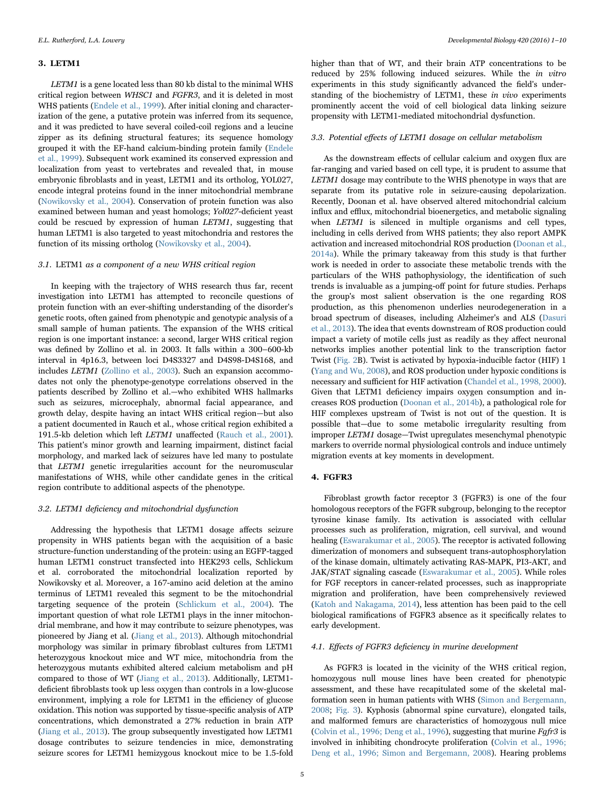#### 3. LETM1

LETM1 is a gene located less than 80 kb distal to the minimal WHS critical region between WHSC1 and FGFR3, and it is deleted in most WHS patients [\(Endele et al., 1999\)](#page-7-8). After initial cloning and characterization of the gene, a putative protein was inferred from its sequence, and it was predicted to have several coiled-coil regions and a leucine zipper as its defining structural features; its sequence homology grouped it with the EF-hand calcium-binding protein family [\(Endele](#page-7-8) [et al., 1999\)](#page-7-8). Subsequent work examined its conserved expression and localization from yeast to vertebrates and revealed that, in mouse embryonic fibroblasts and in yeast, LETM1 and its ortholog, YOL027, encode integral proteins found in the inner mitochondrial membrane ([Nowikovsky et al., 2004](#page-8-14)). Conservation of protein function was also examined between human and yeast homologs; Yol027-deficient yeast could be rescued by expression of human LETM1, suggesting that human LETM1 is also targeted to yeast mitochondria and restores the function of its missing ortholog [\(Nowikovsky et al., 2004](#page-8-14)).

#### 3.1. LETM1 as a component of a new WHS critical region

In keeping with the trajectory of WHS research thus far, recent investigation into LETM1 has attempted to reconcile questions of protein function with an ever-shifting understanding of the disorder's genetic roots, often gained from phenotypic and genotypic analysis of a small sample of human patients. The expansion of the WHS critical region is one important instance: a second, larger WHS critical region was defined by Zollino et al. in 2003. It falls within a 300–600-kb interval in 4p16.3, between loci D4S3327 and D4S98-D4S168, and includes LETM1 ([Zollino et al., 2003](#page-9-1)). Such an expansion accommodates not only the phenotype-genotype correlations observed in the patients described by Zollino et al.—who exhibited WHS hallmarks such as seizures, microcephaly, abnormal facial appearance, and growth delay, despite having an intact WHS critical region—but also a patient documented in Rauch et al., whose critical region exhibited a 191.5-kb deletion which left LETM1 unaffected [\(Rauch et al., 2001\)](#page-8-29). This patient's minor growth and learning impairment, distinct facial morphology, and marked lack of seizures have led many to postulate that LETM1 genetic irregularities account for the neuromuscular manifestations of WHS, while other candidate genes in the critical region contribute to additional aspects of the phenotype.

#### 3.2. LETM1 deficiency and mitochondrial dysfunction

Addressing the hypothesis that LETM1 dosage affects seizure propensity in WHS patients began with the acquisition of a basic structure-function understanding of the protein: using an EGFP-tagged human LETM1 construct transfected into HEK293 cells, Schlickum et al. corroborated the mitochondrial localization reported by Nowikovsky et al. Moreover, a 167-amino acid deletion at the amino terminus of LETM1 revealed this segment to be the mitochondrial targeting sequence of the protein [\(Schlickum et al., 2004\)](#page-8-15). The important question of what role LETM1 plays in the inner mitochondrial membrane, and how it may contribute to seizure phenotypes, was pioneered by Jiang et al. [\(Jiang et al., 2013](#page-8-16)). Although mitochondrial morphology was similar in primary fibroblast cultures from LETM1 heterozygous knockout mice and WT mice, mitochondria from the heterozygous mutants exhibited altered calcium metabolism and pH compared to those of WT ([Jiang et al., 2013\)](#page-8-16). Additionally, LETM1 deficient fibroblasts took up less oxygen than controls in a low-glucose environment, implying a role for LETM1 in the efficiency of glucose oxidation. This notion was supported by tissue-specific analysis of ATP concentrations, which demonstrated a 27% reduction in brain ATP ([Jiang et al., 2013\)](#page-8-16). The group subsequently investigated how LETM1 dosage contributes to seizure tendencies in mice, demonstrating seizure scores for LETM1 hemizygous knockout mice to be 1.5-fold

higher than that of WT, and their brain ATP concentrations to be reduced by 25% following induced seizures. While the in vitro experiments in this study significantly advanced the field's understanding of the biochemistry of LETM1, these in vivo experiments prominently accent the void of cell biological data linking seizure propensity with LETM1-mediated mitochondrial dysfunction.

#### 3.3. Potential effects of LETM1 dosage on cellular metabolism

As the downstream effects of cellular calcium and oxygen flux are far-ranging and varied based on cell type, it is prudent to assume that LETM1 dosage may contribute to the WHS phenotype in ways that are separate from its putative role in seizure-causing depolarization. Recently, Doonan et al. have observed altered mitochondrial calcium influx and efflux, mitochondrial bioenergetics, and metabolic signaling when LETM1 is silenced in multiple organisms and cell types, including in cells derived from WHS patients; they also report AMPK activation and increased mitochondrial ROS production [\(Doonan et al.,](#page-7-9) [2014a\)](#page-7-9). While the primary takeaway from this study is that further work is needed in order to associate these metabolic trends with the particulars of the WHS pathophysiology, the identification of such trends is invaluable as a jumping-off point for future studies. Perhaps the group's most salient observation is the one regarding ROS production, as this phenomenon underlies neurodegeneration in a broad spectrum of diseases, including Alzheimer's and ALS [\(Dasuri](#page-7-15) [et al., 2013\)](#page-7-15). The idea that events downstream of ROS production could impact a variety of motile cells just as readily as they affect neuronal networks implies another potential link to the transcription factor Twist ([Fig. 2](#page-3-0)B). Twist is activated by hypoxia-inducible factor (HIF) 1 ([Yang and Wu, 2008](#page-9-4)), and ROS production under hypoxic conditions is necessary and sufficient for HIF activation [\(Chandel et al., 1998, 2000\)](#page-7-16). Given that LETM1 deficiency impairs oxygen consumption and increases ROS production [\(Doonan et al., 2014b\)](#page-7-17), a pathological role for HIF complexes upstream of Twist is not out of the question. It is possible that—due to some metabolic irregularity resulting from improper LETM1 dosage—Twist upregulates mesenchymal phenotypic markers to override normal physiological controls and induce untimely migration events at key moments in development.

#### 4. FGFR3

Fibroblast growth factor receptor 3 (FGFR3) is one of the four homologous receptors of the FGFR subgroup, belonging to the receptor tyrosine kinase family. Its activation is associated with cellular processes such as proliferation, migration, cell survival, and wound healing ([Eswarakumar et al., 2005](#page-7-7)). The receptor is activated following dimerization of monomers and subsequent trans-autophosphorylation of the kinase domain, ultimately activating RAS-MAPK, PI3-AKT, and JAK/STAT signaling cascade ([Eswarakumar et al., 2005\)](#page-7-7). While roles for FGF receptors in cancer-related processes, such as inappropriate migration and proliferation, have been comprehensively reviewed ([Katoh and Nakagama, 2014](#page-8-12)), less attention has been paid to the cell biological ramifications of FGFR3 absence as it specifically relates to early development.

#### 4.1. Effects of FGFR3 deficiency in murine development

As FGFR3 is located in the vicinity of the WHS critical region, homozygous null mouse lines have been created for phenotypic assessment, and these have recapitulated some of the skeletal malformation seen in human patients with WHS [\(Simon and Bergemann,](#page-8-8) [2008;](#page-8-8) [Fig. 3](#page-5-0)). Kyphosis (abnormal spine curvature), elongated tails, and malformed femurs are characteristics of homozygous null mice ([Colvin et al., 1996; Deng et al., 1996\)](#page-7-5), suggesting that murine Fgfr3 is involved in inhibiting chondrocyte proliferation ([Colvin et al., 1996;](#page-7-5) [Deng et al., 1996; Simon and Bergemann, 2008\)](#page-7-5). Hearing problems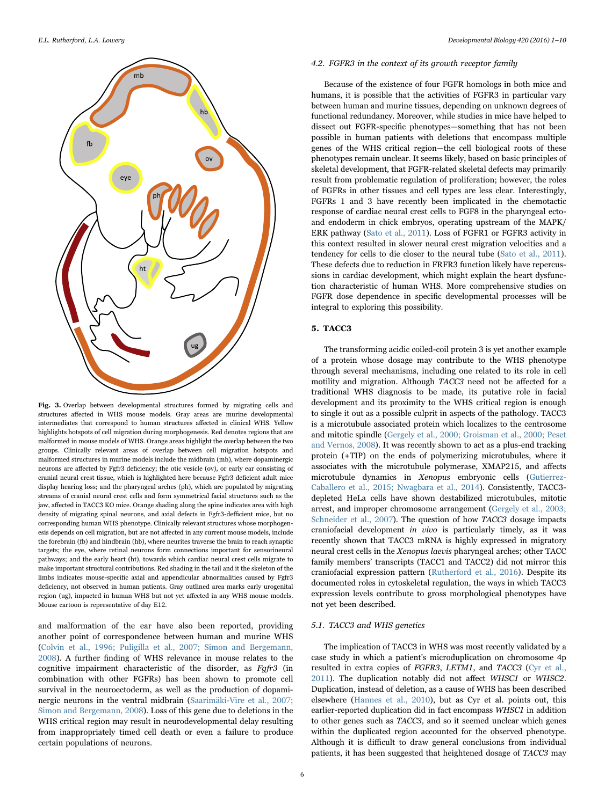<span id="page-5-0"></span>

Fig. 3. Overlap between developmental structures formed by migrating cells and structures affected in WHS mouse models. Gray areas are murine developmental intermediates that correspond to human structures affected in clinical WHS. Yellow highlights hotspots of cell migration during morphogenesis. Red denotes regions that are malformed in mouse models of WHS. Orange areas highlight the overlap between the two groups. Clinically relevant areas of overlap between cell migration hotspots and malformed structures in murine models include the midbrain (mb), where dopaminergic neurons are affected by Fgfr3 deficiency; the otic vesicle (ov), or early ear consisting of cranial neural crest tissue, which is highlighted here because Fgfr3 deficient adult mice display hearing loss; and the pharyngeal arches (ph), which are populated by migrating streams of cranial neural crest cells and form symmetrical facial structures such as the jaw, affected in TACC3 KO mice. Orange shading along the spine indicates area with high density of migrating spinal neurons, and axial defects in Fgfr3-defficient mice, but no corresponding human WHS phenotype. Clinically relevant structures whose morphogenesis depends on cell migration, but are not affected in any current mouse models, include the forebrain (fb) and hindbrain (hb), where neurites traverse the brain to reach synaptic targets; the eye, where retinal neurons form connections important for sensorineural pathways; and the early heart (ht), towards which cardiac neural crest cells migrate to make important structural contributions. Red shading in the tail and it the skeleton of the limbs indicates mouse-specific axial and appendicular abnormalities caused by Fgfr3 deficiency, not observed in human patients. Gray outlined area marks early urogenital region (ug), impacted in human WHS but not yet affected in any WHS mouse models. Mouse cartoon is representative of day E12.

and malformation of the ear have also been reported, providing another point of correspondence between human and murine WHS ([Colvin et al., 1996; Puligilla et al., 2007; Simon and Bergemann,](#page-7-5) [2008\)](#page-7-5). A further finding of WHS relevance in mouse relates to the cognitive impairment characteristic of the disorder, as Fgfr3 (in combination with other FGFRs) has been shown to promote cell survival in the neuroectoderm, as well as the production of dopaminergic neurons in the ventral midbrain [\(Saarimäki-Vire et al., 2007;](#page-8-10) [Simon and Bergemann, 2008](#page-8-10)). Loss of this gene due to deletions in the WHS critical region may result in neurodevelopmental delay resulting from inappropriately timed cell death or even a failure to produce certain populations of neurons.

#### 4.2. FGFR3 in the context of its growth receptor family

Because of the existence of four FGFR homologs in both mice and humans, it is possible that the activities of FGFR3 in particular vary between human and murine tissues, depending on unknown degrees of functional redundancy. Moreover, while studies in mice have helped to dissect out FGFR-specific phenotypes—something that has not been possible in human patients with deletions that encompass multiple genes of the WHS critical region—the cell biological roots of these phenotypes remain unclear. It seems likely, based on basic principles of skeletal development, that FGFR-related skeletal defects may primarily result from problematic regulation of proliferation; however, the roles of FGFRs in other tissues and cell types are less clear. Interestingly, FGFRs 1 and 3 have recently been implicated in the chemotactic response of cardiac neural crest cells to FGF8 in the pharyngeal ectoand endoderm in chick embryos, operating upstream of the MAPK/ ERK pathway [\(Sato et al., 2011\)](#page-8-13). Loss of FGFR1 or FGFR3 activity in this context resulted in slower neural crest migration velocities and a tendency for cells to die closer to the neural tube ([Sato et al., 2011\)](#page-8-13). These defects due to reduction in FRFR3 function likely have repercussions in cardiac development, which might explain the heart dysfunction characteristic of human WHS. More comprehensive studies on FGFR dose dependence in specific developmental processes will be integral to exploring this possibility.

#### 5. TACC3

The transforming acidic coiled-coil protein 3 is yet another example of a protein whose dosage may contribute to the WHS phenotype through several mechanisms, including one related to its role in cell motility and migration. Although TACC3 need not be affected for a traditional WHS diagnosis to be made, its putative role in facial development and its proximity to the WHS critical region is enough to single it out as a possible culprit in aspects of the pathology. TACC3 is a microtubule associated protein which localizes to the centrosome and mitotic spindle [\(Gergely et al., 2000; Groisman et al., 2000; Peset](#page-8-5) [and Vernos, 2008\)](#page-8-5). It was recently shown to act as a plus-end tracking protein (+TIP) on the ends of polymerizing microtubules, where it associates with the microtubule polymerase, XMAP215, and affects microtubule dynamics in Xenopus embryonic cells [\(Gutierrez-](#page-8-30)[Caballero et al., 2015; Nwagbara et al., 2014](#page-8-30)). Consistently, TACC3 depleted HeLa cells have shown destabilized microtubules, mitotic arrest, and improper chromosome arrangement [\(Gergely et al., 2003;](#page-8-31) [Schneider et al., 2007\)](#page-8-31). The question of how TACC3 dosage impacts craniofacial development in vivo is particularly timely, as it was recently shown that TACC3 mRNA is highly expressed in migratory neural crest cells in the Xenopus laevis pharyngeal arches; other TACC family members' transcripts (TACC1 and TACC2) did not mirror this craniofacial expression pattern ([Rutherford et al., 2016](#page-8-32)). Despite its documented roles in cytoskeletal regulation, the ways in which TACC3 expression levels contribute to gross morphological phenotypes have not yet been described.

#### 5.1. TACC3 and WHS genetics

The implication of TACC3 in WHS was most recently validated by a case study in which a patient's microduplication on chromosome 4p resulted in extra copies of FGFR3, LETM1, and TACC3 ([Cyr et al.,](#page-7-4) [2011\)](#page-7-4). The duplication notably did not affect WHSC1 or WHSC2. Duplication, instead of deletion, as a cause of WHS has been described elsewhere ([Hannes et al., 2010\)](#page-8-33), but as Cyr et al. points out, this earlier-reported duplication did in fact encompass WHSC1 in addition to other genes such as TACC3, and so it seemed unclear which genes within the duplicated region accounted for the observed phenotype. Although it is difficult to draw general conclusions from individual patients, it has been suggested that heightened dosage of TACC3 may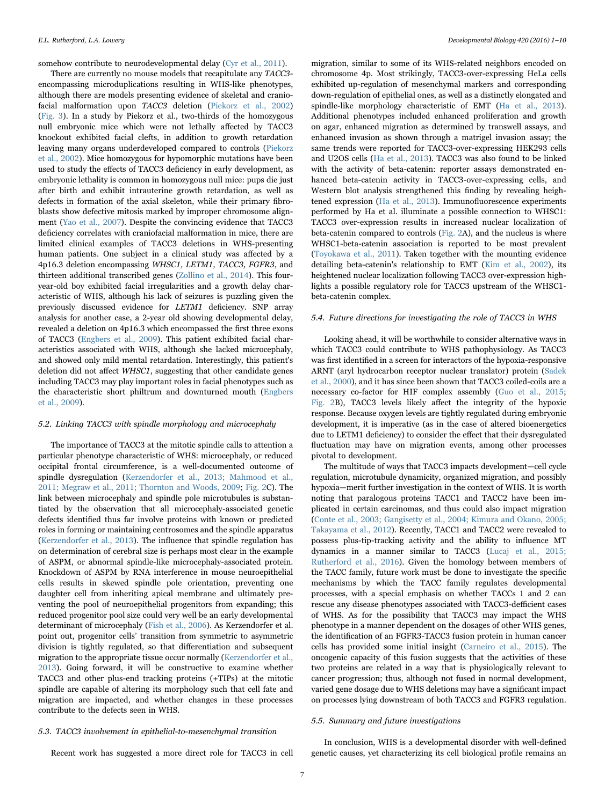somehow contribute to neurodevelopmental delay [\(Cyr et al., 2011\)](#page-7-4).

There are currently no mouse models that recapitulate any TACC3 encompassing microduplications resulting in WHS-like phenotypes, although there are models presenting evidence of skeletal and craniofacial malformation upon TACC3 deletion [\(Piekorz et al., 2002\)](#page-8-34) ([Fig. 3\)](#page-5-0). In a study by Piekorz et al., two-thirds of the homozygous null embryonic mice which were not lethally affected by TACC3 knockout exhibited facial clefts, in addition to growth retardation leaving many organs underdeveloped compared to controls [\(Piekorz](#page-8-34) [et al., 2002\)](#page-8-34). Mice homozygous for hypomorphic mutations have been used to study the effects of TACC3 deficiency in early development, as embryonic lethality is common in homozygous null mice: pups die just after birth and exhibit intrauterine growth retardation, as well as defects in formation of the axial skeleton, while their primary fibroblasts show defective mitosis marked by improper chromosome alignment ([Yao et al., 2007](#page-9-5)). Despite the convincing evidence that TACC3 deficiency correlates with craniofacial malformation in mice, there are limited clinical examples of TACC3 deletions in WHS-presenting human patients. One subject in a clinical study was affected by a 4p16.3 deletion encompassing WHSC1, LETM1, TACC3, FGFR3, and thirteen additional transcribed genes [\(Zollino et al., 2014\)](#page-9-2). This fouryear-old boy exhibited facial irregularities and a growth delay characteristic of WHS, although his lack of seizures is puzzling given the previously discussed evidence for LETM1 deficiency. SNP array analysis for another case, a 2-year old showing developmental delay, revealed a deletion on 4p16.3 which encompassed the first three exons of TACC3 ([Engbers et al., 2009\)](#page-7-18). This patient exhibited facial characteristics associated with WHS, although she lacked microcephaly, and showed only mild mental retardation. Interestingly, this patient's deletion did not affect WHSC1, suggesting that other candidate genes including TACC3 may play important roles in facial phenotypes such as the characteristic short philtrum and downturned mouth ([Engbers](#page-7-18) [et al., 2009](#page-7-18)).

#### 5.2. Linking TACC3 with spindle morphology and microcephaly

The importance of TACC3 at the mitotic spindle calls to attention a particular phenotype characteristic of WHS: microcephaly, or reduced occipital frontal circumference, is a well-documented outcome of spindle dysregulation ([Kerzendorfer et al., 2013; Mahmood et al.,](#page-8-35) [2011; Megraw et al., 2011; Thornton and Woods, 2009;](#page-8-35) [Fig. 2](#page-3-0)C). The link between microcephaly and spindle pole microtubules is substantiated by the observation that all microcephaly-associated genetic defects identified thus far involve proteins with known or predicted roles in forming or maintaining centrosomes and the spindle apparatus ([Kerzendorfer et al., 2013](#page-8-35)). The influence that spindle regulation has on determination of cerebral size is perhaps most clear in the example of ASPM, or abnormal spindle-like microcephaly-associated protein. Knockdown of ASPM by RNA interference in mouse neuroepithelial cells results in skewed spindle pole orientation, preventing one daughter cell from inheriting apical membrane and ultimately preventing the pool of neuroepithelial progenitors from expanding; this reduced progenitor pool size could very well be an early developmental determinant of microcephaly ([Fish et al., 2006](#page-7-19)). As Kerzendorfer et al. point out, progenitor cells' transition from symmetric to asymmetric division is tightly regulated, so that differentiation and subsequent migration to the appropriate tissue occur normally ([Kerzendorfer et al.,](#page-8-35) [2013\)](#page-8-35). Going forward, it will be constructive to examine whether TACC3 and other plus-end tracking proteins (+TIPs) at the mitotic spindle are capable of altering its morphology such that cell fate and migration are impacted, and whether changes in these processes contribute to the defects seen in WHS.

#### 5.3. TACC3 involvement in epithelial-to-mesenchymal transition

Recent work has suggested a more direct role for TACC3 in cell

migration, similar to some of its WHS-related neighbors encoded on chromosome 4p. Most strikingly, TACC3-over-expressing HeLa cells exhibited up-regulation of mesenchymal markers and corresponding down-regulation of epithelial ones, as well as a distinctly elongated and spindle-like morphology characteristic of EMT [\(Ha et al., 2013](#page-8-36)). Additional phenotypes included enhanced proliferation and growth on agar, enhanced migration as determined by transwell assays, and enhanced invasion as shown through a matrigel invasion assay; the same trends were reported for TACC3-over-expressing HEK293 cells and U2OS cells ([Ha et al., 2013](#page-8-36)). TACC3 was also found to be linked with the activity of beta-catenin: reporter assays demonstrated enhanced beta-catenin activity in TACC3-over-expressing cells, and Western blot analysis strengthened this finding by revealing heightened expression [\(Ha et al., 2013](#page-8-36)). Immunofluorescence experiments performed by Ha et al. illuminate a possible connection to WHSC1: TACC3 over-expression results in increased nuclear localization of beta-catenin compared to controls ([Fig. 2](#page-3-0)A), and the nucleus is where WHSC1-beta-catenin association is reported to be most prevalent ([Toyokawa et al., 2011\)](#page-8-17). Taken together with the mounting evidence detailing beta-catenin's relationship to EMT [\(Kim et al., 2002\)](#page-8-37), its heightened nuclear localization following TACC3 over-expression highlights a possible regulatory role for TACC3 upstream of the WHSC1 beta-catenin complex.

#### 5.4. Future directions for investigating the role of TACC3 in WHS

Looking ahead, it will be worthwhile to consider alternative ways in which TACC3 could contribute to WHS pathophysiology. As TACC3 was first identified in a screen for interactors of the hypoxia-responsive ARNT (aryl hydrocarbon receptor nuclear translator) protein [\(Sadek](#page-8-38) [et al., 2000](#page-8-38)), and it has since been shown that TACC3 coiled-coils are a necessary co-factor for HIF complex assembly ([Guo et al., 2015](#page-8-39); [Fig. 2B](#page-3-0)), TACC3 levels likely affect the integrity of the hypoxic response. Because oxygen levels are tightly regulated during embryonic development, it is imperative (as in the case of altered bioenergetics due to LETM1 deficiency) to consider the effect that their dysregulated fluctuation may have on migration events, among other processes pivotal to development.

The multitude of ways that TACC3 impacts development—cell cycle regulation, microtubule dynamicity, organized migration, and possibly hypoxia—merit further investigation in the context of WHS. It is worth noting that paralogous proteins TACC1 and TACC2 have been implicated in certain carcinomas, and thus could also impact migration ([Conte et al., 2003; Gangisetty et al., 2004; Kimura and Okano, 2005;](#page-7-20) [Takayama et al., 2012](#page-7-20)). Recently, TACC1 and TACC2 were revealed to possess plus-tip-tracking activity and the ability to influence MT dynamics in a manner similar to TACC3 [\(Lucaj et al., 2015;](#page-8-40) [Rutherford et al., 2016\)](#page-8-40). Given the homology between members of the TACC family, future work must be done to investigate the specific mechanisms by which the TACC family regulates developmental processes, with a special emphasis on whether TACCs 1 and 2 can rescue any disease phenotypes associated with TACC3-defficient cases of WHS. As for the possibility that TACC3 may impact the WHS phenotype in a manner dependent on the dosages of other WHS genes, the identification of an FGFR3-TACC3 fusion protein in human cancer cells has provided some initial insight ([Carneiro et al., 2015](#page-7-21)). The oncogenic capacity of this fusion suggests that the activities of these two proteins are related in a way that is physiologically relevant to cancer progression; thus, although not fused in normal development, varied gene dosage due to WHS deletions may have a significant impact on processes lying downstream of both TACC3 and FGFR3 regulation.

#### 5.5. Summary and future investigations

In conclusion, WHS is a developmental disorder with well-defined genetic causes, yet characterizing its cell biological profile remains an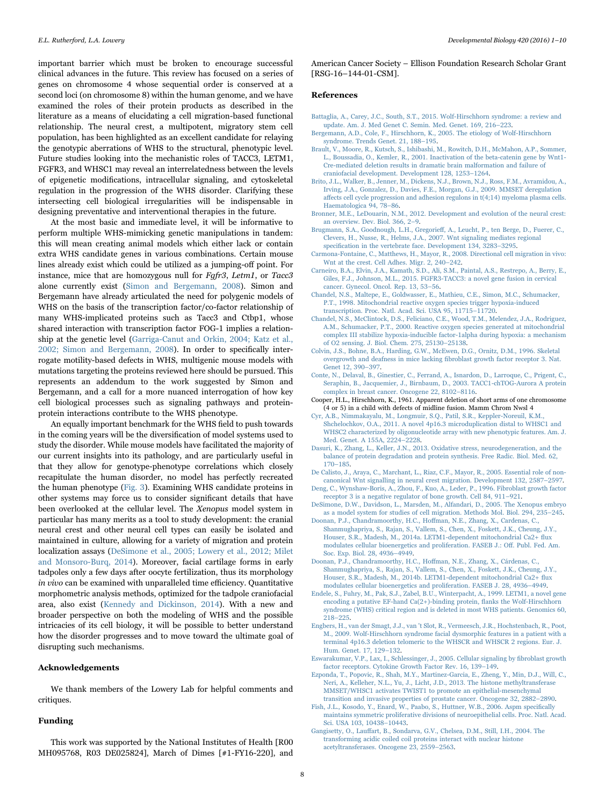important barrier which must be broken to encourage successful clinical advances in the future. This review has focused on a series of genes on chromosome 4 whose sequential order is conserved at a second loci (on chromosome 8) within the human genome, and we have examined the roles of their protein products as described in the literature as a means of elucidating a cell migration-based functional relationship. The neural crest, a multipotent, migratory stem cell population, has been highlighted as an excellent candidate for relaying the genotypic aberrations of WHS to the structural, phenotypic level. Future studies looking into the mechanistic roles of TACC3, LETM1, FGFR3, and WHSC1 may reveal an interrelatedness between the levels of epigenetic modifications, intracellular signaling, and cytoskeletal regulation in the progression of the WHS disorder. Clarifying these intersecting cell biological irregularities will be indispensable in designing preventative and interventional therapies in the future.

At the most basic and immediate level, it will be informative to perform multiple WHS-mimicking genetic manipulations in tandem: this will mean creating animal models which either lack or contain extra WHS candidate genes in various combinations. Certain mouse lines already exist which could be utilized as a jumping-off point. For instance, mice that are homozygous null for Fgfr3, Letm1, or Tacc3 alone currently exist [\(Simon and Bergemann, 2008\)](#page-8-8). Simon and Bergemann have already articulated the need for polygenic models of WHS on the basis of the transcription factor/co-factor relationship of many WHS-implicated proteins such as Tacc3 and Ctbp1, whose shared interaction with transcription factor FOG-1 implies a relationship at the genetic level [\(Garriga-Canut and Orkin, 2004; Katz et al.,](#page-8-41) [2002; Simon and Bergemann, 2008\)](#page-8-41). In order to specifically interrogate motility-based defects in WHS, multigenic mouse models with mutations targeting the proteins reviewed here should be pursued. This represents an addendum to the work suggested by Simon and Bergemann, and a call for a more nuanced interrogation of how key cell biological processes such as signaling pathways and proteinprotein interactions contribute to the WHS phenotype.

An equally important benchmark for the WHS field to push towards in the coming years will be the diversification of model systems used to study the disorder. While mouse models have facilitated the majority of our current insights into its pathology, and are particularly useful in that they allow for genotype-phenotype correlations which closely recapitulate the human disorder, no model has perfectly recreated the human phenotype ([Fig. 3](#page-5-0)). Examining WHS candidate proteins in other systems may force us to consider significant details that have been overlooked at the cellular level. The Xenopus model system in particular has many merits as a tool to study development: the cranial neural crest and other neural cell types can easily be isolated and maintained in culture, allowing for a variety of migration and protein localization assays [\(DeSimone et al., 2005; Lowery et al., 2012; Milet](#page-7-22) [and Monsoro-Burq, 2014\)](#page-7-22). Moreover, facial cartilage forms in early tadpoles only a few days after oocyte fertilization, thus its morphology in vivo can be examined with unparalleled time efficiency. Quantitative morphometric analysis methods, optimized for the tadpole craniofacial area, also exist [\(Kennedy and Dickinson, 2014](#page-8-42)). With a new and broader perspective on both the modeling of WHS and the possible intricacies of its cell biology, it will be possible to better understand how the disorder progresses and to move toward the ultimate goal of disrupting such mechanisms.

#### Acknowledgements

We thank members of the Lowery Lab for helpful comments and critiques.

#### Funding

This work was supported by the National Institutes of Health [R00 MH095768, R03 DE025824], March of Dimes [#1-FY16-220], and

American Cancer Society – Ellison Foundation Research Scholar Grant [RSG-16–144-01-CSM].

#### References

<span id="page-7-0"></span>[Battaglia, A., Carey, J.C., South, S.T., 2015. Wolf-Hirschhorn syndrome: a review and](http://refhub.elsevier.com/S0012-16)30534-sbref1) [update. Am. J. Med Genet C. Semin. Med. Genet. 169, 216](http://refhub.elsevier.com/S0012-16)30534-sbref1)–223.

- <span id="page-7-2"></span>[Bergemann, A.D., Cole, F., Hirschhorn, K., 2005. The etiology of Wolf-Hirschhorn](http://refhub.elsevier.com/S0012-16)30534-sbref2) [syndrome. Trends Genet. 21, 188](http://refhub.elsevier.com/S0012-16)30534-sbref2)–195.
- <span id="page-7-1"></span>[Brault, V., Moore, R., Kutsch, S., Ishibashi, M., Rowitch, D.H., McMahon, A.P., Sommer,](http://refhub.elsevier.com/S0012-16)30534-sbref3) [L., Boussadia, O., Kemler, R., 2001. Inactivation of the beta-catenin gene by Wnt1-](http://refhub.elsevier.com/S0012-16)30534-sbref3) [Cre-mediated deletion results in dramatic brain malformation and failure of](http://refhub.elsevier.com/S0012-16)30534-sbref3) [craniofacial development. Development 128, 1253](http://refhub.elsevier.com/S0012-16)30534-sbref3)–1264.
- <span id="page-7-14"></span>[Brito, J.L., Walker, B., Jenner, M., Dickens, N.J., Brown, N.J., Ross, F.M., Avramidou, A.,](http://refhub.elsevier.com/S0012-16)30534-sbref4) [Irving, J.A., Gonzalez, D., Davies, F.E., Morgan, G.J., 2009. MMSET deregulation](http://refhub.elsevier.com/S0012-16)30534-sbref4) aff[ects cell cycle progression and adhesion regulons in t\(4;14\) myeloma plasma cells.](http://refhub.elsevier.com/S0012-16)30534-sbref4) [Haematologica 94, 78](http://refhub.elsevier.com/S0012-16)30534-sbref4)–86.
- <span id="page-7-3"></span>[Bronner, M.E., LeDouarin, N.M., 2012. Development and evolution of the neural crest:](http://refhub.elsevier.com/S0012-16)30534-sbref5) [an overview. Dev. Biol. 366, 2](http://refhub.elsevier.com/S0012-16)30534-sbref5)–9.
- <span id="page-7-13"></span>[Brugmann, S.A., Goodnough, L.H., Gregorie](http://refhub.elsevier.com/S0012-16)30534-sbref6)ff, A., Leucht, P., ten Berge, D., Fuerer, C., [Clevers, H., Nusse, R., Helms, J.A., 2007. Wnt signaling mediates regional](http://refhub.elsevier.com/S0012-16)30534-sbref6) specifi[cation in the vertebrate face. Development 134, 3283](http://refhub.elsevier.com/S0012-16)30534-sbref6)–3295.
- <span id="page-7-12"></span>[Carmona-Fontaine, C., Matthews, H., Mayor, R., 2008. Directional cell migration in vivo:](http://refhub.elsevier.com/S0012-16)30534-sbref7) [Wnt at the crest. Cell Adhes. Migr. 2, 240](http://refhub.elsevier.com/S0012-16)30534-sbref7)–242.
- <span id="page-7-21"></span>[Carneiro, B.A., Elvin, J.A., Kamath, S.D., Ali, S.M., Paintal, A.S., Restrepo, A., Berry, E.,](http://refhub.elsevier.com/S0012-16)30534-sbref8) [Giles, F.J., Johnson, M.L., 2015. FGFR3-TACC3: a novel gene fusion in cervical](http://refhub.elsevier.com/S0012-16)30534-sbref8) [cancer. Gynecol. Oncol. Rep. 13, 53](http://refhub.elsevier.com/S0012-16)30534-sbref8)–56.
- <span id="page-7-16"></span>[Chandel, N.S., Maltepe, E., Goldwasser, E., Mathieu, C.E., Simon, M.C., Schumacker,](http://refhub.elsevier.com/S0012-16)30534-sbref9) [P.T., 1998. Mitochondrial reactive oxygen species trigger hypoxia-induced](http://refhub.elsevier.com/S0012-16)30534-sbref9) [transcription. Proc. Natl. Acad. Sci. USA 95, 11715](http://refhub.elsevier.com/S0012-16)30534-sbref9)–11720.
- [Chandel, N.S., McClintock, D.S., Feliciano, C.E., Wood, T.M., Melendez, J.A., Rodriguez,](http://refhub.elsevier.com/S0012-16)30534-sbref10) [A.M., Schumacker, P.T., 2000. Reactive oxygen species generated at mitochondrial](http://refhub.elsevier.com/S0012-16)30534-sbref10) [complex III stabilize hypoxia-inducible factor-1alpha during hypoxia: a mechanism](http://refhub.elsevier.com/S0012-16)30534-sbref10) [of O2 sensing. J. Biol. Chem. 275, 25130](http://refhub.elsevier.com/S0012-16)30534-sbref10)–25138.
- <span id="page-7-5"></span>[Colvin, J.S., Bohne, B.A., Harding, G.W., McEwen, D.G., Ornitz, D.M., 1996. Skeletal](http://refhub.elsevier.com/S0012-16)30534-sbref11) [overgrowth and deafness in mice lacking](http://refhub.elsevier.com/S0012-16)30534-sbref11) fibroblast growth factor receptor 3. Nat. [Genet 12, 390](http://refhub.elsevier.com/S0012-16)30534-sbref11)–397.
- <span id="page-7-20"></span>[Conte, N., Delaval, B., Ginestier, C., Ferrand, A., Isnardon, D., Larroque, C., Prigent, C.,](http://refhub.elsevier.com/S0012-16)30534-sbref12) [Seraphin, B., Jacquemier, J., Birnbaum, D., 2003. TACC1-chTOG-Aurora A protein](http://refhub.elsevier.com/S0012-16)30534-sbref12) [complex in breast cancer. Oncogene 22, 8102](http://refhub.elsevier.com/S0012-16)30534-sbref12)–8116.
- Cooper, H.L., Hirschhorn, K., 1961. Apparent deletion of short arms of one chromosome (4 or 5) in a child with defects of midline fusion. Mamm Chrom Nwsl 4
- <span id="page-7-4"></span>[Cyr, A.B., Nimmakayalu, M., Longmuir, S.Q., Patil, S.R., Keppler-Noreuil, K.M.,](http://refhub.elsevier.com/S0012-16)30534-sbref13) [Shchelochkov, O.A., 2011. A novel 4p16.3 microduplication distal to WHSC1 and](http://refhub.elsevier.com/S0012-16)30534-sbref13) [WHSC2 characterized by oligonucleotide array with new phenotypic features. Am. J.](http://refhub.elsevier.com/S0012-16)30534-sbref13) [Med. Genet. A 155A, 2224](http://refhub.elsevier.com/S0012-16)30534-sbref13)–2228.

<span id="page-7-15"></span>[Dasuri, K., Zhang, L., Keller, J.N., 2013. Oxidative stress, neurodegeneration, and the](http://refhub.elsevier.com/S0012-16)30534-sbref14) [balance of protein degradation and protein synthesis. Free Radic. Biol. Med. 62,](http://refhub.elsevier.com/S0012-16)30534-sbref14) 170–[185](http://refhub.elsevier.com/S0012-16)30534-sbref14).

- <span id="page-7-11"></span>[De Calisto, J., Araya, C., Marchant, L., Riaz, C.F., Mayor, R., 2005. Essential role of non](http://refhub.elsevier.com/S0012-16)30534-sbref15)[canonical Wnt signalling in neural crest migration. Development 132, 2587](http://refhub.elsevier.com/S0012-16)30534-sbref15)–2597.
- <span id="page-7-6"></span>[Deng, C., Wynshaw-Boris, A., Zhou, F., Kuo, A., Leder, P., 1996. Fibroblast growth factor](http://refhub.elsevier.com/S0012-16)30534-sbref16) [receptor 3 is a negative regulator of bone growth. Cell 84, 911](http://refhub.elsevier.com/S0012-16)30534-sbref16)–921.
- <span id="page-7-22"></span>DeSimone, [D.W., Davidson, L., Marsden, M., Alfandari, D., 2005. The Xenopus embryo](http://refhub.elsevier.com/S0012-16)30534-sbref17) [as a model system for studies of cell migration. Methods Mol. Biol. 294, 235](http://refhub.elsevier.com/S0012-16)30534-sbref17)–245. [Doonan, P.J., Chandramoorthy, H.C., Ho](http://refhub.elsevier.com/S0012-16)30534-sbref18)ffman, N.E., Zhang, X., Cardenas, C.,
- <span id="page-7-9"></span>[Shanmughapriya, S., Rajan, S., Vallem, S., Chen, X., Foskett, J.K., Cheung, J.Y.,](http://refhub.elsevier.com/S0012-16)30534-sbref18) [Houser, S.R., Madesh, M., 2014a. LETM1-dependent mitochondrial Ca2+](http://refhub.elsevier.com/S0012-16)30534-sbref18) flux [modulates cellular bioenergetics and proliferation. FASEB J.: O](http://refhub.elsevier.com/S0012-16)30534-sbref18)ff. Publ. Fed. Am. [Soc. Exp. Biol. 28, 4936](http://refhub.elsevier.com/S0012-16)30534-sbref18)–4949.
- <span id="page-7-17"></span>[Doonan, P.J., Chandramoorthy, H.C., Ho](http://refhub.elsevier.com/S0012-16)30534-sbref19)ffman, N.E., Zhang, X., Cárdenas, C., [Shanmughapriya, S., Rajan, S., Vallem, S., Chen, X., Foskett, J.K., Cheung, J.Y.,](http://refhub.elsevier.com/S0012-16)30534-sbref19) [Houser, S.R., Madesh, M., 2014b. LETM1-dependent mitochondrial Ca2+](http://refhub.elsevier.com/S0012-16)30534-sbref19) flux [modulates cellular bioenergetics and proliferation. FASEB J. 28, 4936](http://refhub.elsevier.com/S0012-16)30534-sbref19)–4949.
- <span id="page-7-8"></span>[Endele, S., Fuhry, M., Pak, S.J., Zabel, B.U., Winterpacht, A., 1999. LETM1, a novel gene](http://refhub.elsevier.com/S0012-16)30534-sbref20) [encoding a putative EF-hand Ca\(2+\)-binding protein,](http://refhub.elsevier.com/S0012-16)30534-sbref20) flanks the Wolf-Hirschhorn [syndrome \(WHS\) critical region and is deleted in most WHS patients. Genomics 60,](http://refhub.elsevier.com/S0012-16)30534-sbref20) 218–[225](http://refhub.elsevier.com/S0012-16)30534-sbref20).
- <span id="page-7-18"></span>[Engbers, H., van der Smagt, J.J., van 't Slot, R., Vermeesch, J.R., Hochstenbach, R., Poot,](http://refhub.elsevier.com/S0012-16)30534-sbref21) [M., 2009. Wolf-Hirschhorn syndrome facial dysmorphic features in a patient with a](http://refhub.elsevier.com/S0012-16)30534-sbref21) [terminal 4p16.3 deletion telomeric to the WHSCR and WHSCR 2 regions. Eur. J.](http://refhub.elsevier.com/S0012-16)30534-sbref21) [Hum. Genet. 17, 129](http://refhub.elsevier.com/S0012-16)30534-sbref21)–132.
- <span id="page-7-7"></span>[Eswarakumar, V.P., Lax, I., Schlessinger, J., 2005. Cellular signaling by](http://refhub.elsevier.com/S0012-16)30534-sbref22) fibroblast growth [factor receptors. Cytokine Growth Factor Rev. 16, 139](http://refhub.elsevier.com/S0012-16)30534-sbref22)–149.
- <span id="page-7-10"></span>[Ezponda, T., Popovic, R., Shah, M.Y., Martinez-Garcia, E., Zheng, Y., Min, D.J., Will, C.,](http://refhub.elsevier.com/S0012-16)30534-sbref23) [Neri, A., Kelleher, N.L., Yu, J., Licht, J.D., 2013. The histone methyltransferase](http://refhub.elsevier.com/S0012-16)30534-sbref23) [MMSET/WHSC1 activates TWIST1 to promote an epithelial-mesenchymal](http://refhub.elsevier.com/S0012-16)30534-sbref23) [transition and invasive properties of prostate cancer. Oncogene 32, 2882](http://refhub.elsevier.com/S0012-16)30534-sbref23)–2890.
- <span id="page-7-19"></span>[Fish, J.L., Kosodo, Y., Enard, W., Paabo, S., Huttner, W.B., 2006. Aspm speci](http://refhub.elsevier.com/S0012-16)30534-sbref24)fically [maintains symmetric proliferative divisions of neuroepithelial cells. Proc. Natl. Acad.](http://refhub.elsevier.com/S0012-16)30534-sbref24) [Sci. USA 103, 10438](http://refhub.elsevier.com/S0012-16)30534-sbref24)–10443.
- Gangisetty, O., Lauff[art, B., Sondarva, G.V., Chelsea, D.M., Still, I.H., 2004. The](http://refhub.elsevier.com/S0012-16)30534-sbref25) [transforming acidic coiled coil proteins interact with nuclear histone](http://refhub.elsevier.com/S0012-16)30534-sbref25) [acetyltransferases. Oncogene 23, 2559](http://refhub.elsevier.com/S0012-16)30534-sbref25)–2563.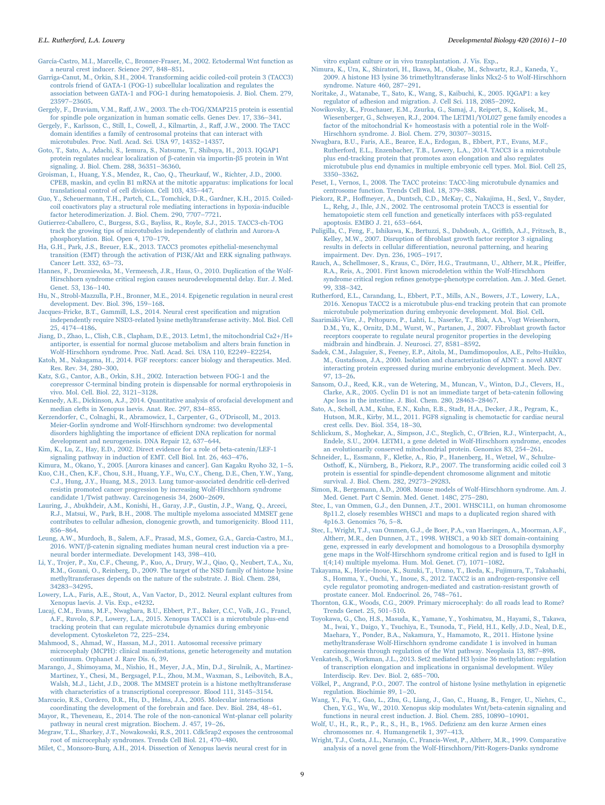<span id="page-8-24"></span>[García-Castro, M.I., Marcelle, C., Bronner-Fraser, M., 2002. Ectodermal Wnt function as](http://refhub.elsevier.com/S0012-16)30534-sbref26) [a neural crest inducer. Science 297, 848](http://refhub.elsevier.com/S0012-16)30534-sbref26)–851.

- <span id="page-8-41"></span>[Garriga-Canut, M., Orkin, S.H., 2004. Transforming acidic coiled-coil protein 3 \(TACC3\)](http://refhub.elsevier.com/S0012-16)30534-sbref27) [controls friend of GATA-1 \(FOG-1\) subcellular localization and regulates the](http://refhub.elsevier.com/S0012-16)30534-sbref27) [association between GATA-1 and FOG-1 during hematopoiesis. J. Biol. Chem. 279,](http://refhub.elsevier.com/S0012-16)30534-sbref27) 23597–[23605.](http://refhub.elsevier.com/S0012-16)30534-sbref27)
- <span id="page-8-31"></span>Gergely, F., Draviam, V.M., Raff[, J.W., 2003. The ch-TOG/XMAP215 protein is essential](http://refhub.elsevier.com/S0012-16)30534-sbref28) [for spindle pole organization in human somatic cells. Genes Dev. 17, 336](http://refhub.elsevier.com/S0012-16)30534-sbref28)–341.
- <span id="page-8-5"></span>[Gergely, F., Karlsson, C., Still, I., Cowell, J., Kilmartin, J., Ra](http://refhub.elsevier.com/S0012-16)30534-sbref29)ff, J.W., 2000. The TACC domain identifi[es a family of centrosomal proteins that can interact with](http://refhub.elsevier.com/S0012-16)30534-sbref29) [microtubules. Proc. Natl. Acad. Sci. USA 97, 14352](http://refhub.elsevier.com/S0012-16)30534-sbref29)–14357.
- <span id="page-8-22"></span>[Goto, T., Sato, A., Adachi, S., Iemura, S., Natsume, T., Shibuya, H., 2013. IQGAP1](http://refhub.elsevier.com/S0012-16)30534-sbref30) [protein regulates nuclear localization of](http://refhub.elsevier.com/S0012-16)30534-sbref30) β-catenin via importin-β5 protein in Wnt [signaling. J. Biol. Chem. 288, 36351](http://refhub.elsevier.com/S0012-16)30534-sbref30)–36360.
- <span id="page-8-6"></span>[Groisman, I., Huang, Y.S., Mendez, R., Cao, Q., Theurkauf, W., Richter, J.D., 2000.](http://refhub.elsevier.com/S0012-16)30534-sbref31) [CPEB, maskin, and cyclin B1 mRNA at the mitotic apparatus: implications for local](http://refhub.elsevier.com/S0012-16)30534-sbref31) [translational control of cell division. Cell 103, 435](http://refhub.elsevier.com/S0012-16)30534-sbref31)–447.
- <span id="page-8-39"></span>[Guo, Y., Scheuermann, T.H., Partch, C.L., Tomchick, D.R., Gardner, K.H., 2015. Coiled](http://refhub.elsevier.com/S0012-16)30534-sbref32)[coil coactivators play a structural role mediating interactions in hypoxia-inducible](http://refhub.elsevier.com/S0012-16)30534-sbref32) [factor heterodimerization. J. Biol. Chem. 290, 7707](http://refhub.elsevier.com/S0012-16)30534-sbref32)–7721.
- <span id="page-8-30"></span>[Gutierrez-Caballero, C., Burgess, S.G., Bayliss, R., Royle, S.J., 2015. TACC3-ch-TOG](http://refhub.elsevier.com/S0012-16)30534-sbref33) [track the growing tips of microtubules independently of clathrin and Aurora-A](http://refhub.elsevier.com/S0012-16)30534-sbref33) [phosphorylation. Biol. Open 4, 170](http://refhub.elsevier.com/S0012-16)30534-sbref33)–179.
- <span id="page-8-36"></span>[Ha, G.H., Park, J.S., Breuer, E.K., 2013. TACC3 promotes epithelial-mesenchymal](http://refhub.elsevier.com/S0012-16)30534-sbref34) [transition \(EMT\) through the activation of PI3K/Akt and ERK signaling pathways.](http://refhub.elsevier.com/S0012-16)30534-sbref34) [Cancer Lett. 332, 63](http://refhub.elsevier.com/S0012-16)30534-sbref34)–73.
- <span id="page-8-33"></span>[Hannes, F., Drozniewska, M., Vermeesch, J.R., Haus, O., 2010. Duplication of the Wolf-](http://refhub.elsevier.com/S0012-16)30534-sbref35)[Hirschhorn syndrome critical region causes neurodevelopmental delay. Eur. J. Med.](http://refhub.elsevier.com/S0012-16)30534-sbref35) [Genet. 53, 136](http://refhub.elsevier.com/S0012-16)30534-sbref35)–140.
- <span id="page-8-26"></span>[Hu, N., Strobl-Mazzulla, P.H., Bronner, M.E., 2014. Epigenetic regulation in neural crest](http://refhub.elsevier.com/S0012-16)30534-sbref36) [development. Dev. Biol. 396, 159](http://refhub.elsevier.com/S0012-16)30534-sbref36)–168.
- <span id="page-8-27"></span>[Jacques-Fricke, B.T., Gammill, L.S., 2014. Neural crest speci](http://refhub.elsevier.com/S0012-16)30534-sbref37)fication and migration [independently require NSD3-related lysine methyltransferase activity. Mol. Biol. Cell](http://refhub.elsevier.com/S0012-16)30534-sbref37) [25, 4174](http://refhub.elsevier.com/S0012-16)30534-sbref37)–4186.
- <span id="page-8-16"></span>[Jiang, D., Zhao, L., Clish, C.B., Clapham, D.E., 2013. Letm1, the mitochondrial Ca2+/H+](http://refhub.elsevier.com/S0012-16)30534-sbref38) [antiporter, is essential for normal glucose metabolism and alters brain function in](http://refhub.elsevier.com/S0012-16)30534-sbref38) [Wolf-Hirschhorn syndrome. Proc. Natl. Acad. Sci. USA 110, E2249](http://refhub.elsevier.com/S0012-16)30534-sbref38)–E2254.
- <span id="page-8-12"></span>[Katoh, M., Nakagama, H., 2014. FGF receptors: cancer biology and therapeutics. Med.](http://refhub.elsevier.com/S0012-16)30534-sbref39) [Res. Rev. 34, 280](http://refhub.elsevier.com/S0012-16)30534-sbref39)–300.
- [Katz, S.G., Cantor, A.B., Orkin, S.H., 2002. Interaction between FOG-1 and the](http://refhub.elsevier.com/S0012-16)30534-sbref40) [corepressor C-terminal binding protein is dispensable for normal erythropoiesis in](http://refhub.elsevier.com/S0012-16)30534-sbref40) [vivo. Mol. Cell. Biol. 22, 3121](http://refhub.elsevier.com/S0012-16)30534-sbref40)–3128.
- <span id="page-8-42"></span>[Kennedy, A.E., Dickinson, A.J., 2014. Quantitative analysis of orofacial development and](http://refhub.elsevier.com/S0012-16)30534-sbref41) [median clefts in Xenopus laevis. Anat. Rec. 297, 834](http://refhub.elsevier.com/S0012-16)30534-sbref41)–855.
- <span id="page-8-35"></span>[Kerzendorfer, C., Colnaghi, R., Abramowicz, I., Carpenter, G., O'Driscoll, M., 2013.](http://refhub.elsevier.com/S0012-16)30534-sbref42) Meier-Gorlin [syndrome and Wolf-Hirschhorn syndrome: two developmental](http://refhub.elsevier.com/S0012-16)30534-sbref42) [disorders highlighting the importance of e](http://refhub.elsevier.com/S0012-16)30534-sbref42)fficient DNA replication for normal [development and neurogenesis. DNA Repair 12, 637](http://refhub.elsevier.com/S0012-16)30534-sbref42)–644.
- <span id="page-8-37"></span>[Kim, K., Lu, Z., Hay, E.D., 2002. Direct evidence for a role of beta-catenin/LEF-1](http://refhub.elsevier.com/S0012-16)30534-sbref43) [signaling pathway in induction of EMT. Cell Biol. Int. 26, 463](http://refhub.elsevier.com/S0012-16)30534-sbref43)–476.
- <span id="page-8-25"></span>[Kimura, M., Okano, Y., 2005. \[Aurora kinases and cancer\]. Gan Kagaku Ryoho 32, 1](http://refhub.elsevier.com/S0012-16)30534-sbref44)–5. [Kuo, C.H., Chen, K.F., Chou, S.H., Huang, Y.F., Wu, C.Y., Cheng, D.E., Chen, Y.W., Yang,](http://refhub.elsevier.com/S0012-16)30534-sbref45) [C.J., Hung, J.Y., Huang, M.S., 2013. Lung tumor-associated dendritic cell-derived](http://refhub.elsevier.com/S0012-16)30534-sbref45) [resistin promoted cancer progression by increasing Wolf-Hirschhorn syndrome](http://refhub.elsevier.com/S0012-16)30534-sbref45) [candidate 1/Twist pathway. Carcinogenesis 34, 2600](http://refhub.elsevier.com/S0012-16)30534-sbref45)–2609.
- <span id="page-8-28"></span>[Lauring, J., Abukhdeir, A.M., Konishi, H., Garay, J.P., Gustin, J.P., Wang, Q., Arceci,](http://refhub.elsevier.com/S0012-16)30534-sbref46) [R.J., Matsui, W., Park, B.H., 2008. The multiple myeloma associated MMSET gene](http://refhub.elsevier.com/S0012-16)30534-sbref46) [contributes to cellular adhesion, clonogenic growth, and tumorigenicity. Blood 111,](http://refhub.elsevier.com/S0012-16)30534-sbref46) 856–[864](http://refhub.elsevier.com/S0012-16)30534-sbref46).
- [Leung, A.W., Murdoch, B., Salem, A.F., Prasad, M.S., Gomez, G.A., García-Castro, M.I.,](http://refhub.elsevier.com/S0012-16)30534-sbref47) 2016. WNT/β[-catenin signaling mediates human neural crest induction via a pre](http://refhub.elsevier.com/S0012-16)30534-sbref47)[neural border intermediate. Development 143, 398](http://refhub.elsevier.com/S0012-16)30534-sbref47)–410.
- <span id="page-8-18"></span>[Li, Y., Trojer, P., Xu, C.F., Cheung, P., Kuo, A., Drury, W.J., Qiao, Q., Neubert, T.A., Xu,](http://refhub.elsevier.com/S0012-16)30534-sbref48) [R.M., Gozani, O., Reinberg, D., 2009. The target of the NSD family of histone lysine](http://refhub.elsevier.com/S0012-16)30534-sbref48) [methyltransferases depends on the nature of the substrate. J. Biol. Chem. 284,](http://refhub.elsevier.com/S0012-16)30534-sbref48) 34283–[34295.](http://refhub.elsevier.com/S0012-16)30534-sbref48)
- [Lowery, L.A., Faris, A.E., Stout, A., Van Vactor, D., 2012. Neural explant cultures from](http://refhub.elsevier.com/S0012-16)30534-sbref49) [Xenopus laevis. J. Vis. Exp., e4232](http://refhub.elsevier.com/S0012-16)30534-sbref49).
- <span id="page-8-40"></span>[Lucaj, C.M., Evans, M.F., Nwagbara, B.U., Ebbert, P.T., Baker, C.C., Volk, J.G., Francl,](http://refhub.elsevier.com/S0012-16)30534-sbref50) [A.F., Ruvolo, S.P., Lowery, L.A., 2015. Xenopus TACC1 is a microtubule plus-end](http://refhub.elsevier.com/S0012-16)30534-sbref50) [tracking protein that can regulate microtubule dynamics during embryonic](http://refhub.elsevier.com/S0012-16)30534-sbref50) [development. Cytoskeleton 72, 225](http://refhub.elsevier.com/S0012-16)30534-sbref50)–234.
- [Mahmood, S., Ahmad, W., Hassan, M.J., 2011. Autosomal recessive primary](http://refhub.elsevier.com/S0012-16)30534-sbref51) [microcephaly \(MCPH\): clinical manifestations, genetic heterogeneity and mutation](http://refhub.elsevier.com/S0012-16)30534-sbref51) [continuum. Orphanet J. Rare Dis. 6, 39.](http://refhub.elsevier.com/S0012-16)30534-sbref51)
- <span id="page-8-4"></span>[Marango, J., Shimoyama, M., Nishio, H., Meyer, J.A., Min, D.J., Sirulnik, A., Martinez-](http://refhub.elsevier.com/S0012-16)30534-sbref52)[Martinez, Y., Chesi, M., Bergsagel, P.L., Zhou, M.M., Waxman, S., Leibovitch, B.A.,](http://refhub.elsevier.com/S0012-16)30534-sbref52) [Walsh, M.J., Licht, J.D., 2008. The MMSET protein is a histone methyltransferase](http://refhub.elsevier.com/S0012-16)30534-sbref52) [with characteristics of a transcriptional corepressor. Blood 111, 3145](http://refhub.elsevier.com/S0012-16)30534-sbref52)–3154.
- [Marcucio, R.S., Cordero, D.R., Hu, D., Helms, J.A., 2005. Molecular interactions](http://refhub.elsevier.com/S0012-16)30534-sbref53) [coordinating the development of the forebrain and face. Dev. Biol. 284, 48](http://refhub.elsevier.com/S0012-16)30534-sbref53)–61. [Mayor, R., Theveneau, E., 2014. The role of the non-canonical Wnt-planar cell polarity](http://refhub.elsevier.com/S0012-16)30534-sbref54)
- <span id="page-8-23"></span>[pathway in neural crest migration. Biochem. J. 457, 19](http://refhub.elsevier.com/S0012-16)30534-sbref54)–26. [Megraw, T.L., Sharkey, J.T., Nowakowski, R.S., 2011. Cdk5rap2 exposes the centrosomal](http://refhub.elsevier.com/S0012-16)30534-sbref55)
- [root of microcephaly syndromes. Trends Cell Biol. 21, 470](http://refhub.elsevier.com/S0012-16)30534-sbref55)–480. [Milet, C., Monsoro-Burq, A.H., 2014. Dissection of Xenopus laevis neural crest for in](http://refhub.elsevier.com/S0012-16)30534-sbref56)

[vitro explant culture or in vivo transplantation. J. Vis. Exp..](http://refhub.elsevier.com/S0012-16)30534-sbref56)

- <span id="page-8-20"></span>[Nimura, K., Ura, K., Shiratori, H., Ikawa, M., Okabe, M., Schwartz, R.J., Kaneda, Y.,](http://refhub.elsevier.com/S0012-16)30534-sbref57) [2009. A histone H3 lysine 36 trimethyltransferase links Nkx2-5 to Wolf-Hirschhorn](http://refhub.elsevier.com/S0012-16)30534-sbref57) [syndrome. Nature 460, 287](http://refhub.elsevier.com/S0012-16)30534-sbref57)–291.
- [Noritake, J., Watanabe, T., Sato, K., Wang, S., Kaibuchi, K., 2005. IQGAP1: a key](http://refhub.elsevier.com/S0012-16)30534-sbref58) [regulator of adhesion and migration. J. Cell Sci. 118, 2085](http://refhub.elsevier.com/S0012-16)30534-sbref58)–2092.
- <span id="page-8-14"></span>[Nowikovsky, K., Froschauer, E.M., Zsurka, G., Samaj, J., Reipert, S., Kolisek, M.,](http://refhub.elsevier.com/S0012-16)30534-sbref59) [Wiesenberger, G., Schweyen, R.J., 2004. The LETM1/YOL027 gene family encodes a](http://refhub.elsevier.com/S0012-16)30534-sbref59) [factor of the mitochondrial K+ homeostasis with a potential role in the Wolf-](http://refhub.elsevier.com/S0012-16)30534-sbref59)[Hirschhorn syndrome. J. Biol. Chem. 279, 30307](http://refhub.elsevier.com/S0012-16)30534-sbref59)–30315.
- <span id="page-8-9"></span>[Nwagbara, B.U., Faris, A.E., Bearce, E.A., Erdogan, B., Ebbert, P.T., Evans, M.F.,](http://refhub.elsevier.com/S0012-16)30534-sbref60) [Rutherford, E.L., Enzenbacher, T.B., Lowery, L.A., 2014. TACC3 is a microtubule](http://refhub.elsevier.com/S0012-16)30534-sbref60) [plus end-tracking protein that promotes axon elongation and also regulates](http://refhub.elsevier.com/S0012-16)30534-sbref60) microtubule [plus end dynamics in multiple embryonic cell types. Mol. Biol. Cell 25,](http://refhub.elsevier.com/S0012-16)30534-sbref60) 3350–[3362](http://refhub.elsevier.com/S0012-16)30534-sbref60).
- <span id="page-8-7"></span>[Peset, I., Vernos, I., 2008. The TACC proteins: TACC-ling microtubule dynamics and](http://refhub.elsevier.com/S0012-16)30534-sbref61) [centrosome function. Trends Cell Biol. 18, 379](http://refhub.elsevier.com/S0012-16)30534-sbref61)–388.
- <span id="page-8-34"></span>Piekorz, R.P., Hoff[meyer, A., Duntsch, C.D., McKay, C., Nakajima, H., Sexl, V., Snyder,](http://refhub.elsevier.com/S0012-16)30534-sbref62) [L., Rehg, J., Ihle, J.N., 2002. The centrosomal protein TACC3 is essential for](http://refhub.elsevier.com/S0012-16)30534-sbref62) [hematopoietic stem cell function and genetically interfaces with p53-regulated](http://refhub.elsevier.com/S0012-16)30534-sbref62) [apoptosis. EMBO J. 21, 653](http://refhub.elsevier.com/S0012-16)30534-sbref62)–664.
- <span id="page-8-11"></span>[Puligilla, C., Feng, F., Ishikawa, K., Bertuzzi, S., Dabdoub, A., Gri](http://refhub.elsevier.com/S0012-16)30534-sbref63)ffith, A.J., Fritzsch, B., Kelley, M.W., 2007. Disruption of fi[broblast growth factor receptor 3 signaling](http://refhub.elsevier.com/S0012-16)30534-sbref63) results in defects in cellular diff[erentiation, neuronal patterning, and hearing](http://refhub.elsevier.com/S0012-16)30534-sbref63) [impairment. Dev. Dyn. 236, 1905](http://refhub.elsevier.com/S0012-16)30534-sbref63)–1917.
- <span id="page-8-29"></span>[Rauch, A., Schellmoser, S., Kraus, C., Dörr, H.G., Trautmann, U., Altherr, M.R., Pfei](http://refhub.elsevier.com/S0012-16)30534-sbref64)ffer, [R.A., Reis, A., 2001. First known microdeletion within the Wolf-Hirschhorn](http://refhub.elsevier.com/S0012-16)30534-sbref64) syndrome critical region refi[nes genotype-phenotype correlation. Am. J. Med. Genet.](http://refhub.elsevier.com/S0012-16)30534-sbref64) [99, 338](http://refhub.elsevier.com/S0012-16)30534-sbref64)–342.
- <span id="page-8-32"></span>[Rutherford, E.L., Carandang, L., Ebbert, P.T., Mills, A.N., Bowers, J.T., Lowery, L.A.,](http://refhub.elsevier.com/S0012-16)30534-sbref65) [2016. Xenopus TACC2 is a microtubule plus-end tracking protein that can promote](http://refhub.elsevier.com/S0012-16)30534-sbref65) [microtubule polymerization during embryonic development. Mol. Biol. Cell](http://refhub.elsevier.com/S0012-16)30534-sbref65).
- <span id="page-8-10"></span>[Saarimäki-Vire, J., Peltopuro, P., Lahti, L., Naserke, T., Blak, A.A., Vogt Weisenhorn,](http://refhub.elsevier.com/S0012-16)30534-sbref66) [D.M., Yu, K., Ornitz, D.M., Wurst, W., Partanen, J., 2007. Fibroblast growth factor](http://refhub.elsevier.com/S0012-16)30534-sbref66) [receptors cooperate to regulate neural progenitor properties in the developing](http://refhub.elsevier.com/S0012-16)30534-sbref66) [midbrain and hindbrain. J. Neurosci. 27, 8581](http://refhub.elsevier.com/S0012-16)30534-sbref66)–8592.
- <span id="page-8-38"></span>[Sadek, C.M., Jalaguier, S., Feeney, E.P., Aitola, M., Damdimopoulos, A.E., Pelto-Huikko,](http://refhub.elsevier.com/S0012-16)30534-sbref67) [M., Gustafsson, J.A., 2000. Isolation and characterization of AINT: a novel ARNT](http://refhub.elsevier.com/S0012-16)30534-sbref67) [interacting protein expressed during murine embryonic development. Mech. Dev.](http://refhub.elsevier.com/S0012-16)30534-sbref67) [97, 13](http://refhub.elsevier.com/S0012-16)30534-sbref67)–26.
- <span id="page-8-21"></span>[Sansom, O.J., Reed, K.R., van de Wetering, M., Muncan, V., Winton, D.J., Clevers, H.,](http://refhub.elsevier.com/S0012-16)30534-sbref68) [Clarke, A.R., 2005. Cyclin D1 is not an immediate target of beta-catenin following](http://refhub.elsevier.com/S0012-16)30534-sbref68) [Apc loss in the intestine. J. Biol. Chem. 280, 28463](http://refhub.elsevier.com/S0012-16)30534-sbref68)–28467.
- <span id="page-8-13"></span>[Sato, A., Scholl, A.M., Kuhn, E.N., Kuhn, E.B., Stadt, H.A., Decker, J.R., Pegram, K.,](http://refhub.elsevier.com/S0012-16)30534-sbref69) [Hutson, M.R., Kirby, M.L., 2011. FGF8 signaling is chemotactic for cardiac neural](http://refhub.elsevier.com/S0012-16)30534-sbref69) [crest cells. Dev. Biol. 354, 18](http://refhub.elsevier.com/S0012-16)30534-sbref69)–30.
- <span id="page-8-15"></span>[Schlickum, S., Moghekar, A., Simpson, J.C., Steglich, C., O'Brien, R.J., Winterpacht, A.,](http://refhub.elsevier.com/S0012-16)30534-sbref70) [Endele, S.U., 2004. LETM1, a gene deleted in Wolf-Hirschhorn syndrome, encodes](http://refhub.elsevier.com/S0012-16)30534-sbref70) [an evolutionarily conserved mitochondrial protein. Genomics 83, 254](http://refhub.elsevier.com/S0012-16)30534-sbref70)–261.
- [Schneider, L., Essmann, F., Kletke, A., Rio, P., Hanenberg, H., Wetzel, W., Schulze-](http://refhub.elsevier.com/S0012-16)30534-sbref71)Osthoff[, K., Nürnberg, B., Piekorz, R.P., 2007. The transforming acidic coiled coil 3](http://refhub.elsevier.com/S0012-16)30534-sbref71) [protein is essential for spindle-dependent chromosome alignment and mitotic](http://refhub.elsevier.com/S0012-16)30534-sbref71) [survival. J. Biol. Chem. 282, 29273](http://refhub.elsevier.com/S0012-16)30534-sbref71)–29283.
- <span id="page-8-8"></span>[Simon, R., Bergemann, A.D., 2008. Mouse models of Wolf-Hirschhorn syndrome. Am. J.](http://refhub.elsevier.com/S0012-16)30534-sbref72) [Med. Genet. Part C Semin. Med. Genet. 148C, 275](http://refhub.elsevier.com/S0012-16)30534-sbref72)–280.
- <span id="page-8-2"></span>[Stec, I., van Ommen, G.J., den Dunnen, J.T., 2001. WHSC1L1, on human chromosome](http://refhub.elsevier.com/S0012-16)30534-sbref73) [8p11.2, closely resembles WHSC1 and maps to a duplicated region shared with](http://refhub.elsevier.com/S0012-16)30534-sbref73) [4p16.3. Genomics 76, 5](http://refhub.elsevier.com/S0012-16)30534-sbref73)–8.
- <span id="page-8-3"></span>[Stec, I., Wright, T.J., van Ommen, G.J., de Boer, P.A., van Haeringen, A., Moorman, A.F.,](http://refhub.elsevier.com/S0012-16)30534-sbref74) [Altherr, M.R., den Dunnen, J.T., 1998. WHSC1, a 90 kb SET domain-containing](http://refhub.elsevier.com/S0012-16)30534-sbref74) [gene, expressed in early development and homologous to a Drosophila dysmorphy](http://refhub.elsevier.com/S0012-16)30534-sbref74) gene [maps in the Wolf-Hirschhorn syndrome critical region and is fused to IgH in](http://refhub.elsevier.com/S0012-16)30534-sbref74) [t\(4;14\) multiple myeloma. Hum. Mol. Genet. \(7\), 1071](http://refhub.elsevier.com/S0012-16)30534-sbref74)–1082.
- [Takayama, K., Horie-Inoue, K., Suzuki, T., Urano, T., Ikeda, K., Fujimura, T., Takahashi,](http://refhub.elsevier.com/S0012-16)30534-sbref75) [S., Homma, Y., Ouchi, Y., Inoue, S., 2012. TACC2 is an androgen-responsive cell](http://refhub.elsevier.com/S0012-16)30534-sbref75) [cycle regulator promoting androgen-mediated and castration-resistant growth of](http://refhub.elsevier.com/S0012-16)30534-sbref75) [prostate cancer. Mol. Endocrinol. 26, 748](http://refhub.elsevier.com/S0012-16)30534-sbref75)–761.
- [Thornton, G.K., Woods, C.G., 2009. Primary microcephaly: do all roads lead to Rome?](http://refhub.elsevier.com/S0012-16)30534-sbref76) [Trends Genet. 25, 501](http://refhub.elsevier.com/S0012-16)30534-sbref76)–510.
- <span id="page-8-17"></span>[Toyokawa, G., Cho, H.S., Masuda, K., Yamane, Y., Yoshimatsu, M., Hayami, S., Takawa,](http://refhub.elsevier.com/S0012-16)30534-sbref77) [M., Iwai, Y., Daigo, Y., Tsuchiya, E., Tsunoda, T., Field, H.I., Kelly, J.D., Neal, D.E.,](http://refhub.elsevier.com/S0012-16)30534-sbref77) [Maehara, Y., Ponder, B.A., Nakamura, Y., Hamamoto, R., 2011. Histone lysine](http://refhub.elsevier.com/S0012-16)30534-sbref77) [methyltransferase Wolf-Hirschhorn syndrome candidate 1 is involved in human](http://refhub.elsevier.com/S0012-16)30534-sbref77) [carcinogenesis through regulation of the Wnt pathway. Neoplasia 13, 887](http://refhub.elsevier.com/S0012-16)30534-sbref77)–898.
- <span id="page-8-19"></span>[Venkatesh, S., Workman, J.L., 2013. Set2 mediated H3 lysine 36 methylation: regulation](http://refhub.elsevier.com/S0012-16)30534-sbref78) [of transcription elongation and implications in organismal development. Wiley](http://refhub.elsevier.com/S0012-16)30534-sbref78) [Interdiscip. Rev. Dev. Biol. 2, 685](http://refhub.elsevier.com/S0012-16)30534-sbref78)–700.
- [Völkel, P., Angrand, P.O., 2007. The control of histone lysine methylation in epigenetic](http://refhub.elsevier.com/S0012-16)30534-sbref79) [regulation. Biochimie 89, 1](http://refhub.elsevier.com/S0012-16)30534-sbref79)–20.
- [Wang, Y., Fu, Y., Gao, L., Zhu, G., Liang, J., Gao, C., Huang, B., Fenger, U., Niehrs, C.,](http://refhub.elsevier.com/S0012-16)30534-sbref80) [Chen, Y.G., Wu, W., 2010. Xenopus skip modulates Wnt/beta-catenin signaling and](http://refhub.elsevier.com/S0012-16)30534-sbref80) [functions in neural crest induction. J. Biol. Chem. 285, 10890](http://refhub.elsevier.com/S0012-16)30534-sbref80)–10901.
- <span id="page-8-0"></span>[Wolf, U., H., R., R., P., R., S., H., B., 1965. De](http://refhub.elsevier.com/S0012-16)30534-sbref81)fizienz am den kurze Armen eines [chromosomes nr. 4. Humangenetik 1, 397](http://refhub.elsevier.com/S0012-16)30534-sbref81)–413.
- <span id="page-8-1"></span>[Wright, T.J., Costa, J.L., Naranjo, C., Francis-West, P., Altherr, M.R., 1999. Comparative](http://refhub.elsevier.com/S0012-16)30534-sbref82) [analysis of a novel gene from the Wolf-Hirschhorn/Pitt-Rogers-Danks syndrome](http://refhub.elsevier.com/S0012-16)30534-sbref82)